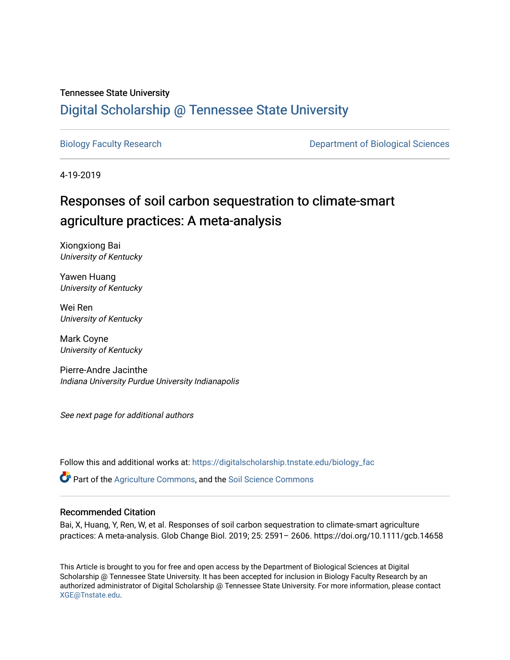### Tennessee State University

# [Digital Scholarship @ Tennessee State University](https://digitalscholarship.tnstate.edu/)

[Biology Faculty Research](https://digitalscholarship.tnstate.edu/biology_fac) **Department of Biological Sciences** Department of Biological Sciences

4-19-2019

# Responses of soil carbon sequestration to climate-smart agriculture practices: A meta-analysis

Xiongxiong Bai University of Kentucky

Yawen Huang University of Kentucky

Wei Ren University of Kentucky

Mark Coyne University of Kentucky

Pierre-Andre Jacinthe Indiana University Purdue University Indianapolis

See next page for additional authors

Follow this and additional works at: [https://digitalscholarship.tnstate.edu/biology\\_fac](https://digitalscholarship.tnstate.edu/biology_fac?utm_source=digitalscholarship.tnstate.edu%2Fbiology_fac%2F102&utm_medium=PDF&utm_campaign=PDFCoverPages) 

Part of the [Agriculture Commons](https://network.bepress.com/hgg/discipline/1076?utm_source=digitalscholarship.tnstate.edu%2Fbiology_fac%2F102&utm_medium=PDF&utm_campaign=PDFCoverPages), and the [Soil Science Commons](https://network.bepress.com/hgg/discipline/163?utm_source=digitalscholarship.tnstate.edu%2Fbiology_fac%2F102&utm_medium=PDF&utm_campaign=PDFCoverPages) 

### Recommended Citation

Bai, X, Huang, Y, Ren, W, et al. Responses of soil carbon sequestration to climate-smart agriculture practices: A meta-analysis. Glob Change Biol. 2019; 25: 2591– 2606. https://doi.org/10.1111/gcb.14658

This Article is brought to you for free and open access by the Department of Biological Sciences at Digital Scholarship @ Tennessee State University. It has been accepted for inclusion in Biology Faculty Research by an authorized administrator of Digital Scholarship @ Tennessee State University. For more information, please contact [XGE@Tnstate.edu](mailto:XGE@Tnstate.edu).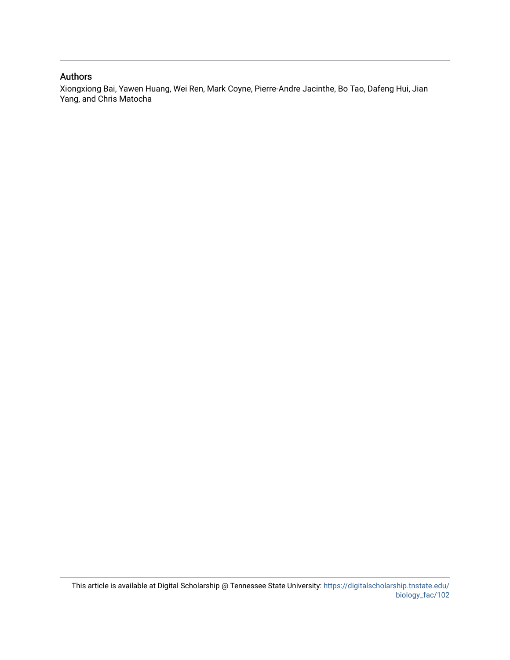### Authors

Xiongxiong Bai, Yawen Huang, Wei Ren, Mark Coyne, Pierre-Andre Jacinthe, Bo Tao, Dafeng Hui, Jian Yang, and Chris Matocha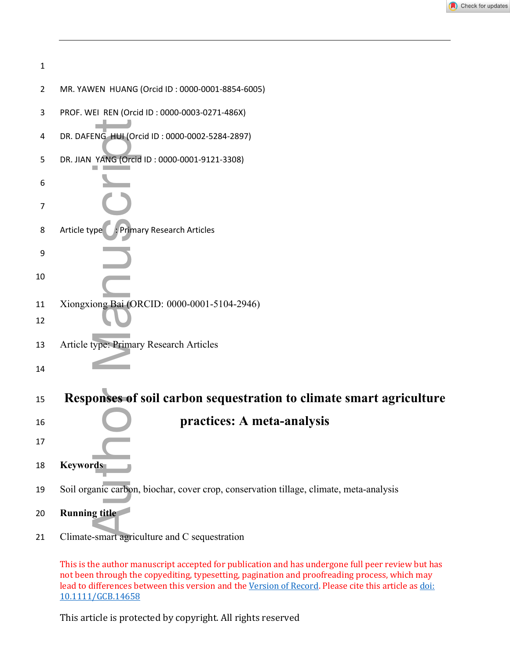| 1  |                                                                                                   |  |  |  |  |  |
|----|---------------------------------------------------------------------------------------------------|--|--|--|--|--|
| 2  | MR. YAWEN HUANG (Orcid ID: 0000-0001-8854-6005)                                                   |  |  |  |  |  |
| 3  | PROF. WEI REN (Orcid ID: 0000-0003-0271-486X)                                                     |  |  |  |  |  |
| 4  | DR. DAFENG HUI (Orcid ID: 0000-0002-5284-2897)                                                    |  |  |  |  |  |
| 5  | DR. JIAN YANG (Orcid ID: 0000-0001-9121-3308)                                                     |  |  |  |  |  |
| 6  |                                                                                                   |  |  |  |  |  |
| 7  |                                                                                                   |  |  |  |  |  |
| 8  | Article type (: Primary Research Articles                                                         |  |  |  |  |  |
| 9  |                                                                                                   |  |  |  |  |  |
| 10 |                                                                                                   |  |  |  |  |  |
| 11 | Xiongxiong Bai (ORCID: 0000-0001-5104-2946)                                                       |  |  |  |  |  |
| 12 |                                                                                                   |  |  |  |  |  |
| 13 | Article type: Primary Research Articles                                                           |  |  |  |  |  |
| 14 |                                                                                                   |  |  |  |  |  |
| 15 | Responses of soil carbon sequestration to climate smart agriculture                               |  |  |  |  |  |
| 16 | practices: A meta-analysis                                                                        |  |  |  |  |  |
| 17 |                                                                                                   |  |  |  |  |  |
| 18 | <b>Keywords</b>                                                                                   |  |  |  |  |  |
| 19 | Soil organic carbon, biochar, cover crop, conservation tillage, climate, meta-analysis            |  |  |  |  |  |
| 20 | <b>Running title</b>                                                                              |  |  |  |  |  |
| 21 | Climate-smart agriculture and C sequestration                                                     |  |  |  |  |  |
|    | This is the author manuscript accepted for publication and has undergone full peer review but has |  |  |  |  |  |

not been through the copyediting, typesetting, pagination and proofreading process, which may lead to differences between this version and the <u>Version of Record</u>. Please cite this article as <u>doi:</u> [10.1111/GCB.14658](https://doi.org/10.1111/GCB.14658)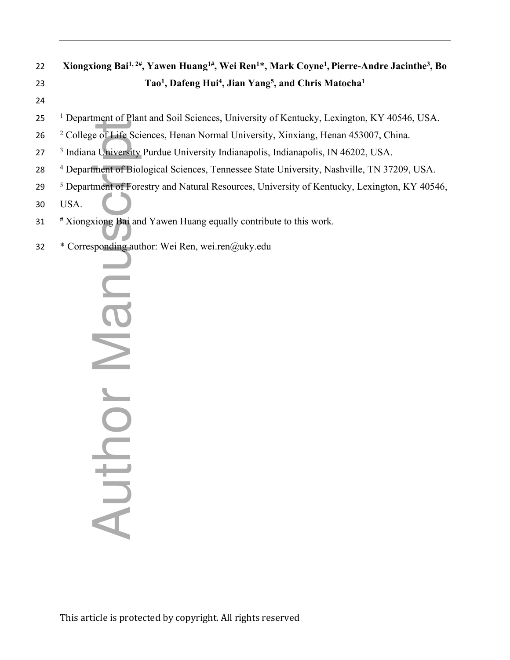# **Xiongxiong Bai1, 2#, Yawen Huang1#, Wei Ren<sup>1</sup>**\***, Mark Coyne<sup>1</sup> ,Pierre-Andre Jacinthe<sup>3</sup> , Bo Tao<sup>1</sup> , Dafeng Hui<sup>4</sup> , Jian Yang<sup>5</sup> , and Chris Matocha<sup>1</sup>**

- 
- <sup>1</sup> <sup>1</sup> Department of Plant and Soil Sciences, University of Kentucky, Lexington, KY 40546, USA.
- <sup>2</sup> College of Life Sciences, Henan Normal University, Xinxiang, Henan 453007, China.
- <sup>3</sup> Indiana University Purdue University Indianapolis, Indianapolis, IN 46202, USA.
- Department of Biological Sciences, Tennessee State University, Nashville, TN 37209, USA.
- <sup>5</sup> Department of Forestry and Natural Resources, University of Kentucky, Lexington, KY 40546,
- USA.
- # Xiongxiong Bai and Yawen Huang equally contribute to this work.
- 

# \* Corresponding author: Wei Ren, [wei.ren@uky.edu](mailto:wei.ren@uky.edu) Author Manuscript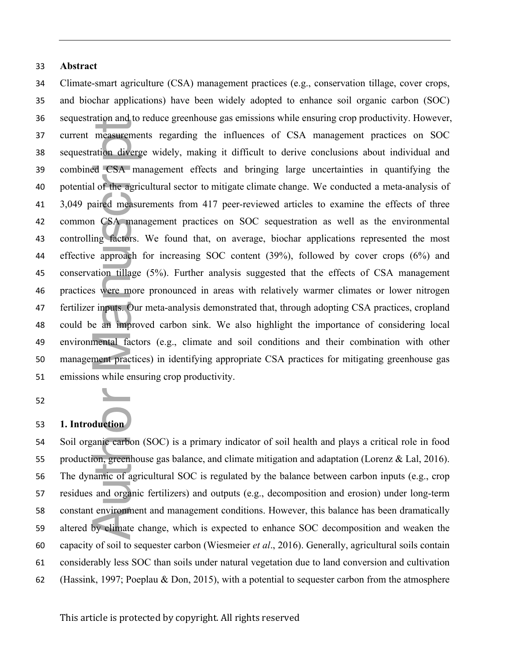### **Abstract**

 Climate-smart agriculture (CSA) management practices (e.g., conservation tillage, cover crops, and biochar applications) have been widely adopted to enhance soil organic carbon (SOC) sequestration and to reduce greenhouse gas emissions while ensuring crop productivity. However, current measurements regarding the influences of CSA management practices on SOC sequestration diverge widely, making it difficult to derive conclusions about individual and combined CSA management effects and bringing large uncertainties in quantifying the potential of the agricultural sector to mitigate climate change. We conducted a meta-analysis of 3,049 paired measurements from 417 peer-reviewed articles to examine the effects of three common CSA management practices on SOC sequestration as well as the environmental controlling factors. We found that, on average, biochar applications represented the most effective approach for increasing SOC content (39%), followed by cover crops (6%) and conservation tillage (5%). Further analysis suggested that the effects of CSA management practices were more pronounced in areas with relatively warmer climates or lower nitrogen fertilizer inputs. Our meta-analysis demonstrated that, through adopting CSA practices, cropland could be an improved carbon sink. We also highlight the importance of considering local environmental factors (e.g., climate and soil conditions and their combination with other management practices) in identifying appropriate CSA practices for mitigating greenhouse gas emissions while ensuring crop productivity. For example the influences of CSA management practices on SOC sequestration discript virids) in difficult to derive conclusions about individual and considered example model to the atmosphere increasing the particular of

# **1. Introduction**

 Soil organic carbon (SOC) is a primary indicator of soil health and plays a critical role in food 55 production, greenhouse gas balance, and climate mitigation and adaptation (Lorenz & Lal, 2016). The dynamic of agricultural SOC is regulated by the balance between carbon inputs (e.g., crop residues and organic fertilizers) and outputs (e.g., decomposition and erosion) under long-term constant environment and management conditions. However, this balance has been dramatically altered by climate change, which is expected to enhance SOC decomposition and weaken the capacity of soil to sequester carbon (Wiesmeier *et al*., 2016). Generally, agricultural soils contain considerably less SOC than soils under natural vegetation due to land conversion and cultivation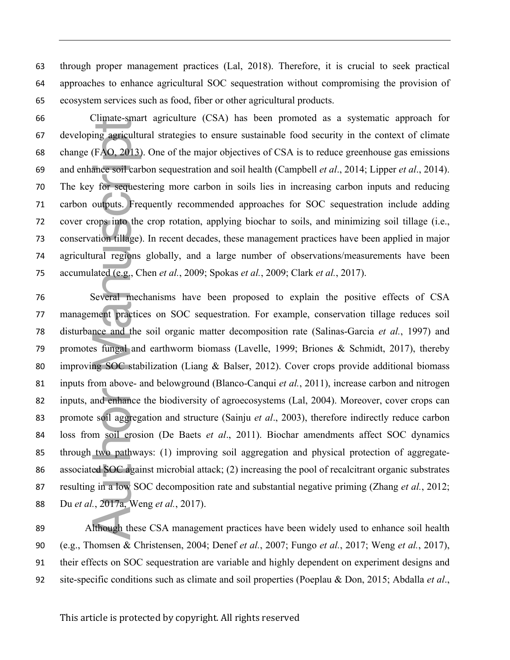through proper management practices (Lal, 2018). Therefore, it is crucial to seek practical approaches to enhance agricultural SOC sequestration without compromising the provision of ecosystem services such as food, fiber or other agricultural products.

 Climate-smart agriculture (CSA) has been promoted as a systematic approach for developing agricultural strategies to ensure sustainable food security in the context of climate change (FAO, 2013). One of the major objectives of CSA is to reduce greenhouse gas emissions and enhance soil carbon sequestration and soil health (Campbell *et al*., 2014; Lipper *et al*., 2014). The key for sequestering more carbon in soils lies in increasing carbon inputs and reducing carbon outputs. Frequently recommended approaches for SOC sequestration include adding cover crops into the crop rotation, applying biochar to soils, and minimizing soil tillage (i.e., conservation tillage). In recent decades, these management practices have been applied in major agricultural regions globally, and a large number of observations/measurements have been accumulated (e.g., Chen *et al.*, 2009; Spokas *et al.*, 2009; Clark *et al.*, 2017).

 Several mechanisms have been proposed to explain the positive effects of CSA management practices on SOC sequestration. For example, conservation tillage reduces soil disturbance and the soil organic matter decomposition rate (Salinas-Garcia *et al.*, 1997) and promotes fungal and earthworm biomass (Lavelle, 1999; Briones & Schmidt, 2017), thereby improving SOC stabilization (Liang & Balser, 2012). Cover crops provide additional biomass inputs from above- and belowground (Blanco-Canqui *et al.*, 2011), increase carbon and nitrogen inputs, and enhance the biodiversity of agroecosystems (Lal, 2004). Moreover, cover crops can promote soil aggregation and structure (Sainju *et al*., 2003), therefore indirectly reduce carbon loss from soil erosion (De Baets *et al*., 2011). Biochar amendments affect SOC dynamics through two pathways: (1) improving soil aggregation and physical protection of aggregate- associated SOC against microbial attack; (2) increasing the pool of recalcitrant organic substrates resulting in a low SOC decomposition rate and substantial negative priming (Zhang *et al.*, 2012; Du *et al.*, 2017a, Weng *et al.*, 2017). 92 stream the proper such and solid and soil in the properties and soil by the context of elimate changes (F-AO\_2013). One of the major objectives of CSA is to reduce greenhouse gas emissions and conditions such and solici

 Although these CSA management practices have been widely used to enhance soil health (e.g., Thomsen & Christensen, 2004; Denef *et al.*, 2007; Fungo *et al.*, 2017; Weng *et al.*, 2017), their effects on SOC sequestration are variable and highly dependent on experiment designs and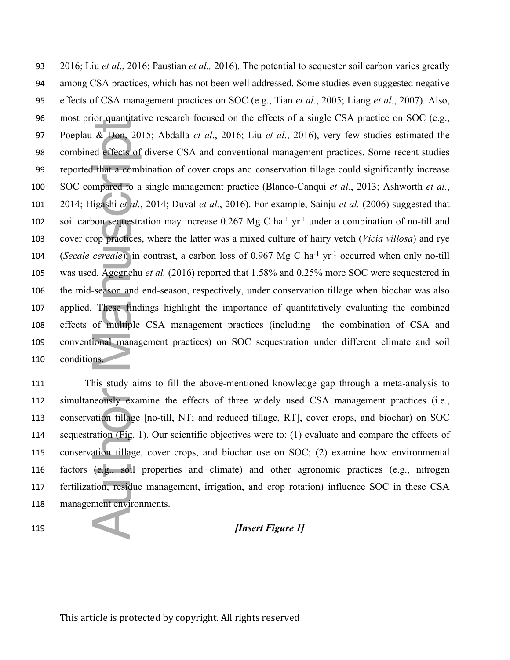2016; Liu *et al*., 2016; Paustian *et al.,* 2016). The potential to sequester soil carbon varies greatly among CSA practices, which has not been well addressed. Some studies even suggested negative effects of CSA management practices on SOC (e.g., Tian *et al.*, 2005; Liang *et al.*, 2007). Also, most prior quantitative research focused on the effects of a single CSA practice on SOC (e.g., Poeplau & Don, 2015; Abdalla *et al*., 2016; Liu *et al*., 2016), very few studies estimated the combined effects of diverse CSA and conventional management practices. Some recent studies reported that a combination of cover crops and conservation tillage could significantly increase SOC compared to a single management practice (Blanco-Canqui *et al.*, 2013; Ashworth *et al.*, 2014; Higashi *et al.*, 2014; Duval *et al.*, 2016). For example, Sainju *et al.* (2006) suggested that 102 soil carbon sequestration may increase  $0.267 \text{ Mg C}$  ha<sup>-1</sup> yr<sup>-1</sup> under a combination of no-till and cover crop practices, where the latter was a mixed culture of hairy vetch (*Vicia villosa*) and rye (*Secale cereale*); in contrast, a carbon loss of 0.967 Mg C ha-1 yr-1 occurred when only no-till was used. Agegnehu *et al.* (2016) reported that 1.58% and 0.25% more SOC were sequestered in the mid-season and end-season, respectively, under conservation tillage when biochar was also applied. These findings highlight the importance of quantitatively evaluating the combined effects of multiple CSA management practices (including the combination of CSA and conventional management practices) on SOC sequestration under different climate and soil conditions. & Don, 201<br>
& Don, 201<br>
ed effects of<br>
that a comb<br>
mpared to a<br>
igashi *et al.*,<br>
yon sequestra<br>
op practices,<br> *cereale*); in (<br>
d. Agegnehu<br>
-season and 6<br>
These findi<br>
of multiple<br>
ional managens.<br>
his study aim<br>
meous

 This study aims to fill the above-mentioned knowledge gap through a meta-analysis to simultaneously examine the effects of three widely used CSA management practices (i.e., conservation tillage [no-till, NT; and reduced tillage, RT], cover crops, and biochar) on SOC sequestration (Fig. 1). Our scientific objectives were to: (1) evaluate and compare the effects of conservation tillage, cover crops, and biochar use on SOC; (2) examine how environmental factors (e.g., soil properties and climate) and other agronomic practices (e.g., nitrogen fertilization, residue management, irrigation, and crop rotation) influence SOC in these CSA management environments.

*[Insert Figure 1]*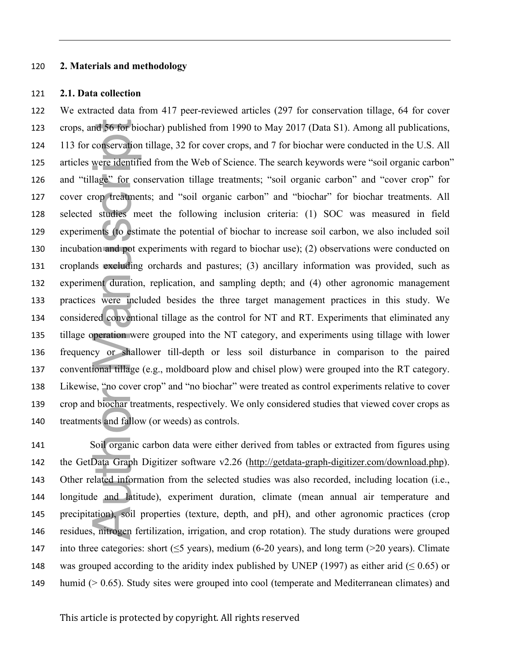### **2. Materials and methodology**

### **2.1. Data collection**

 We extracted data from 417 peer-reviewed articles (297 for conservation tillage, 64 for cover crops, and 56 for biochar) published from 1990 to May 2017 (Data S1). Among all publications, 113 for conservation tillage, 32 for cover crops, and 7 for biochar were conducted in the U.S. All articles were identified from the Web of Science. The search keywords were "soil organic carbon" and "tillage" for conservation tillage treatments; "soil organic carbon" and "cover crop" for cover crop treatments; and "soil organic carbon" and "biochar" for biochar treatments. All selected studies meet the following inclusion criteria: (1) SOC was measured in field experiments (to estimate the potential of biochar to increase soil carbon, we also included soil incubation and pot experiments with regard to biochar use); (2) observations were conducted on croplands excluding orchards and pastures; (3) ancillary information was provided, such as experiment duration, replication, and sampling depth; and (4) other agronomic management practices were included besides the three target management practices in this study. We considered conventional tillage as the control for NT and RT. Experiments that eliminated any tillage operation were grouped into the NT category, and experiments using tillage with lower frequency or shallower till-depth or less soil disturbance in comparison to the paired conventional tillage (e.g., moldboard plow and chisel plow) were grouped into the RT category. Likewise, "no cover crop" and "no biochar" were treated as control experiments relative to cover crop and biochar treatments, respectively. We only considered studies that viewed cover crops as treatments and fallow (or weeds) as controls. 279 cross, and 50 for thosehat) published from 1990 to May 2017 (Data S1). Among all publications,<br>
213 articles were identified from the Web of Science. The search keywords were "coolucted in the U.S. All<br>
226 articles w

 Soil organic carbon data were either derived from tables or extracted from figures using the GetData Graph Digitizer software v2.26 [\(http://getdata-graph-digitizer.com/download.php](http://getdata-graph-digitizer.com/download.php)). Other related information from the selected studies was also recorded, including location (i.e., longitude and latitude), experiment duration, climate (mean annual air temperature and precipitation), soil properties (texture, depth, and pH), and other agronomic practices (crop residues, nitrogen fertilization, irrigation, and crop rotation). The study durations were grouped 147 into three categories: short ( $\leq$ 5 years), medium (6-20 years), and long term ( $>$ 20 years). Climate 148 was grouped according to the aridity index published by UNEP (1997) as either arid ( $\leq 0.65$ ) or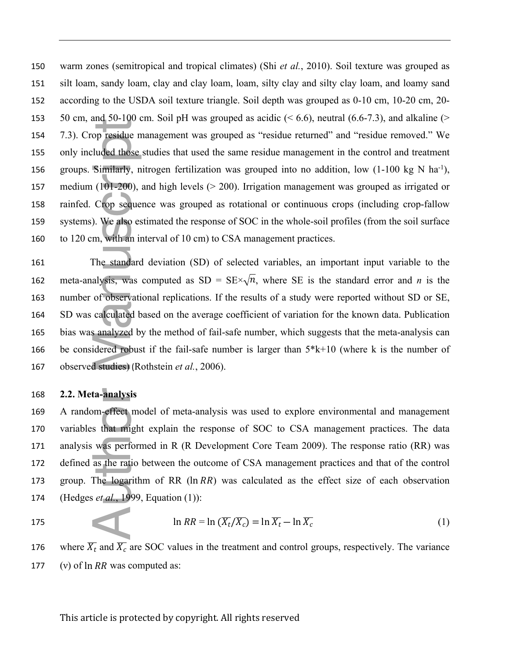warm zones (semitropical and tropical climates) (Shi *et al.*, 2010). Soil texture was grouped as silt loam, sandy loam, clay and clay loam, loam, silty clay and silty clay loam, and loamy sand according to the USDA soil texture triangle. Soil depth was grouped as 0-10 cm, 10-20 cm, 20- 153 50 cm, and 50-100 cm. Soil pH was grouped as acidic ( $\leq 6.6$ ), neutral (6.6-7.3), and alkaline ( $\geq$  7.3). Crop residue management was grouped as "residue returned" and "residue removed." We only included those studies that used the same residue management in the control and treatment groups. Similarly, nitrogen fertilization was grouped into no addition, low (1-100 kg N ha-1), medium (101-200), and high levels (> 200). Irrigation management was grouped as irrigated or rainfed. Crop sequence was grouped as rotational or continuous crops (including crop-fallow systems). We also estimated the response of SOC in the whole-soil profiles (from the soil surface to 120 cm, with an interval of 10 cm) to CSA management practices. 154 (173). Crop residue manageme<br>
155 or this unit of the manageme<br>
155 or this minimal solution manageme<br>
157 medium (101-200), and high<br>
158 rainfed. Crop sequence was<br>
159 systems). We also estimated the to 120 cm, wit

 The standard deviation (SD) of selected variables, an important input variable to the 162 meta-analysis, was computed as  $SD = SE \times \sqrt{n}$ , where SE is the standard error and *n* is the number of observational replications. If the results of a study were reported without SD or SE, SD was calculated based on the average coefficient of variation for the known data. Publication bias was analyzed by the method of fail-safe number, which suggests that the meta-analysis can 166 be considered robust if the fail-safe number is larger than  $5*k+10$  (where k is the number of observed studies) (Rothstein *et al.*, 2006).

### **2.2. Meta-analysis**

 A random-effect model of meta-analysis was used to explore environmental and management variables that might explain the response of SOC to CSA management practices. The data analysis was performed in R (R Development Core Team 2009). The response ratio (RR) was defined as the ratio between the outcome of CSA management practices and that of the control 173 group. The logarithm of RR ( $\ln RR$ ) was calculated as the effect size of each observation (Hedges *et al.*, 1999, Equation (1)):

$$
\ln RR = \ln \left( \overline{X_t} / \overline{X_c} \right) = \ln \overline{X_t} - \ln \overline{X_c} \tag{1}
$$

176 where  $\overline{X_t}$  and  $\overline{X_c}$  are SOC values in the treatment and control groups, respectively. The variance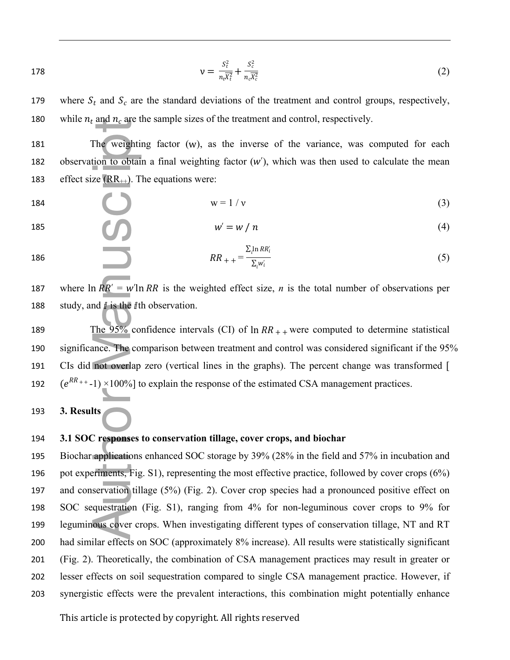178 
$$
v = \frac{S_t^2}{n_t \overline{X}_t^2} + \frac{S_c^2}{n_c \overline{X}_c^2}
$$
 (2)

179 where  $S_t$  and  $S_c$  are the standard deviations of the treatment and control groups, respectively, 180 while  $n_t$  and  $n_c$  are the sample sizes of the treatment and control, respectively.

181 The weighting factor (w), as the inverse of the variance, was computed for each 182 observation to obtain a final weighting factor  $(w')$ , which was then used to calculate the mean 183 effect size  $(RR_{++})$ . The equations were:

184  $w = 1/v$  (3)

$$
\mathsf{TS}^2
$$

$$
w' = w / n \tag{4}
$$

$$
RR_{++} = \frac{\sum_{i} \ln RR'_{i}}{\sum_{i} w'_{i}} \tag{5}
$$

187 where  $\ln RR' = w'\ln RR$  is the weighted effect size, *n* is the total number of observations per 188 study, and  $\mathbf{i}$  is the  $\mathbf{i}$ th observation.

189 The 95% confidence intervals (CI) of  $\ln RR_{++}$  were computed to determine statistical significance. The comparison between treatment and control was considered significant if the 95% CIs did not overlap zero (vertical lines in the graphs). The percent change was transformed [  $(e^{RR_{++}}-1) \times 100\%$ ] to explain the response of the estimated CSA management practices.

### 193 **3. Results**

### 194 **3.1 SOC responses to conservation tillage, cover crops, and biochar**

 Biochar applications enhanced SOC storage by 39% (28% in the field and 57% in incubation and pot experiments, Fig. S1), representing the most effective practice, followed by cover crops (6%) and conservation tillage (5%) (Fig. 2). Cover crop species had a pronounced positive effect on SOC sequestration (Fig. S1), ranging from 4% for non-leguminous cover crops to 9% for leguminous cover crops. When investigating different types of conservation tillage, NT and RT had similar effects on SOC (approximately 8% increase). All results were statistically significant (Fig. 2). Theoretically, the combination of CSA management practices may result in greater or lesser effects on soil sequestration compared to single CSA management practice. However, if 203 state of the variable synth of the simulation for the between the prevalent interactions, the interactions were the prevalent interactions, the minimization of the prevalent interactions were the prevalent interaction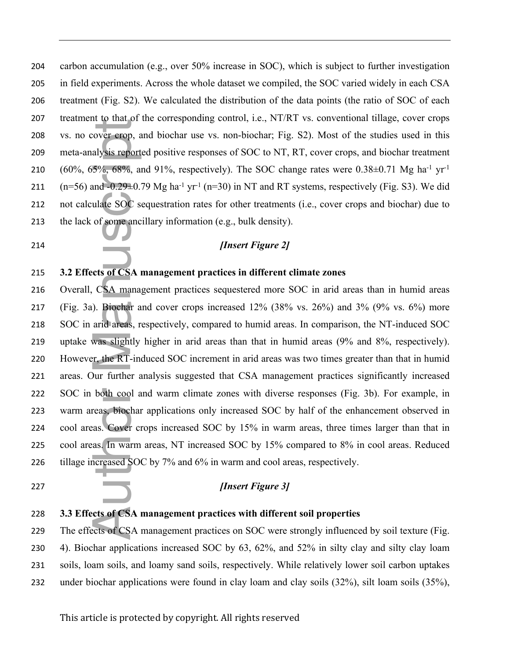carbon accumulation (e.g., over 50% increase in SOC), which is subject to further investigation in field experiments. Across the whole dataset we compiled, the SOC varied widely in each CSA treatment (Fig. S2). We calculated the distribution of the data points (the ratio of SOC of each treatment to that of the corresponding control, i.e., NT/RT vs. conventional tillage, cover crops vs. no cover crop, and biochar use vs. non-biochar; Fig. S2). Most of the studies used in this meta-analysis reported positive responses of SOC to NT, RT, cover crops, and biochar treatment 210 (60%, 65%, 68%, and 91%, respectively). The SOC change rates were 0.38 $\pm$ 0.71 Mg ha<sup>-1</sup> yr<sup>-1</sup>  $(n=56)$  and  $-0.29\pm0.79$  Mg ha<sup>-1</sup> yr<sup>-1</sup> (n=30) in NT and RT systems, respectively (Fig. S3). We did not calculate SOC sequestration rates for other treatments (i.e., cover crops and biochar) due to the lack of some ancillary information (e.g., bulk density).

### *[Insert Figure 2]*

### **3.2 Effects of CSA management practices in different climate zones**

 Overall, CSA management practices sequestered more SOC in arid areas than in humid areas (Fig. 3a). Biochar and cover crops increased 12% (38% vs. 26%) and 3% (9% vs. 6%) more SOC in arid areas, respectively, compared to humid areas. In comparison, the NT-induced SOC uptake was slightly higher in arid areas than that in humid areas (9% and 8%, respectively). However, the RT-induced SOC increment in arid areas was two times greater than that in humid areas. Our further analysis suggested that CSA management practices significantly increased SOC in both cool and warm climate zones with diverse responses (Fig. 3b). For example, in warm areas, biochar applications only increased SOC by half of the enhancement observed in cool areas. Cover crops increased SOC by 15% in warm areas, three times larger than that in cool areas. In warm areas, NT increased SOC by 15% compared to 8% in cool areas. Reduced tillage increased SOC by 7% and 6% in warm and cool areas, respectively. 232 vs. to exverge for the state of Soil and Hannel Handel and Soil and Soil and Soil and Handel applications were found in clay, 62% ( $60\%$ ), 63% ( $60\%$ ), 63% ( $60\%$ ), 63% ( $60\%$ ), 63%), 63% ( $60\%$ ), 63%) ( $60\%$ ),

## *[Insert Figure 3]*

### **3.3 Effects of CSA management practices with different soil properties**

 The effects of CSA management practices on SOC were strongly influenced by soil texture (Fig. 4). Biochar applications increased SOC by 63, 62%, and 52% in silty clay and silty clay loam soils, loam soils, and loamy sand soils, respectively. While relatively lower soil carbon uptakes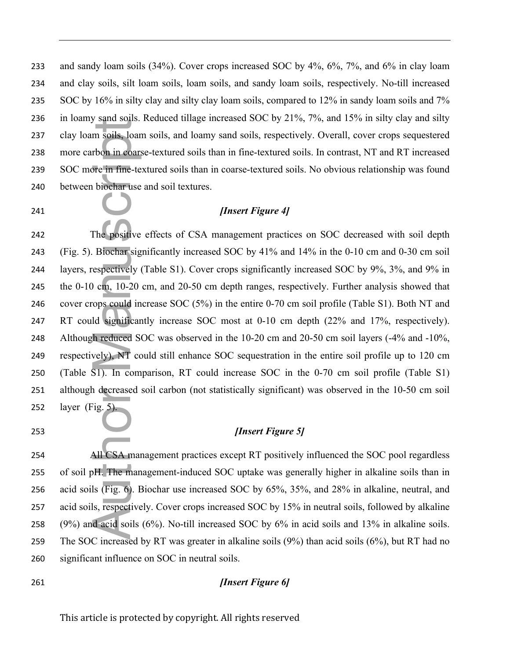and sandy loam soils (34%). Cover crops increased SOC by 4%, 6%, 7%, and 6% in clay loam and clay soils, silt loam soils, loam soils, and sandy loam soils, respectively. No-till increased SOC by 16% in silty clay and silty clay loam soils, compared to 12% in sandy loam soils and 7% in loamy sand soils. Reduced tillage increased SOC by 21%, 7%, and 15% in silty clay and silty clay loam soils, loam soils, and loamy sand soils, respectively. Overall, cover crops sequestered more carbon in coarse-textured soils than in fine-textured soils. In contrast, NT and RT increased SOC more in fine-textured soils than in coarse-textured soils. No obvious relationship was found between biochar use and soil textures.

### *[Insert Figure 4]*

 The positive effects of CSA management practices on SOC decreased with soil depth (Fig. 5). Biochar significantly increased SOC by 41% and 14% in the 0-10 cm and 0-30 cm soil layers, respectively (Table S1). Cover crops significantly increased SOC by 9%, 3%, and 9% in the 0-10 cm, 10-20 cm, and 20-50 cm depth ranges, respectively. Further analysis showed that cover crops could increase SOC (5%) in the entire 0-70 cm soil profile (Table S1). Both NT and RT could significantly increase SOC most at 0-10 cm depth (22% and 17%, respectively). Although reduced SOC was observed in the 10-20 cm and 20-50 cm soil layers (-4% and -10%, respectively), NT could still enhance SOC sequestration in the entire soil profile up to 120 cm (Table S1). In comparison, RT could increase SOC in the 0-70 cm soil profile (Table S1) although decreased soil carbon (not statistically significant) was observed in the 10-50 cm soil layer (Fig. 5). 222<br>
237 **Example 121 Author Constant Constant Constant Constant Constant Constant Constant Constrained Constant Constrained SOC move in fine-textured soils than in coarse-textured so between biberian time-textured soils t** 

*[Insert Figure 5]*

 All CSA management practices except RT positively influenced the SOC pool regardless of soil pH. The management-induced SOC uptake was generally higher in alkaline soils than in acid soils (Fig. 6). Biochar use increased SOC by 65%, 35%, and 28% in alkaline, neutral, and acid soils, respectively. Cover crops increased SOC by 15% in neutral soils, followed by alkaline (9%) and acid soils (6%). No-till increased SOC by 6% in acid soils and 13% in alkaline soils. The SOC increased by RT was greater in alkaline soils (9%) than acid soils (6%), but RT had no significant influence on SOC in neutral soils.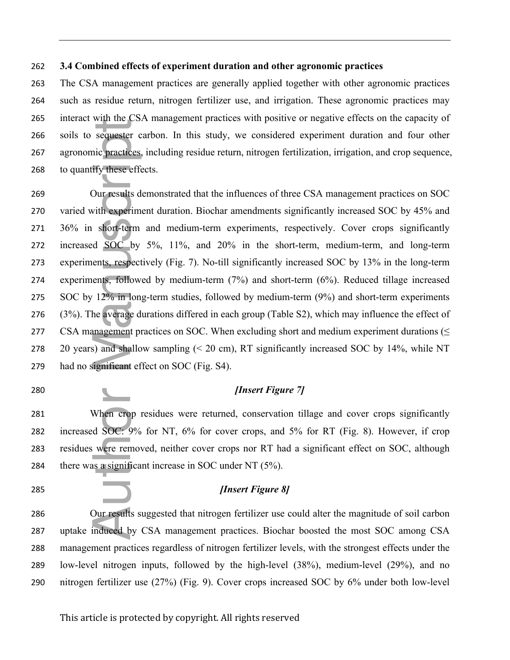### **3.4 Combined effects of experiment duration and other agronomic practices**

 The CSA management practices are generally applied together with other agronomic practices such as residue return, nitrogen fertilizer use, and irrigation. These agronomic practices may interact with the CSA management practices with positive or negative effects on the capacity of soils to sequester carbon. In this study, we considered experiment duration and four other agronomic practices, including residue return, nitrogen fertilization, irrigation, and crop sequence, to quantify these effects.

 Our results demonstrated that the influences of three CSA management practices on SOC 270 varied with experiment duration. Biochar amendments significantly increased SOC by 45% and 36% in short-term and medium-term experiments, respectively. Cover crops significantly increased SOC by 5%, 11%, and 20% in the short-term, medium-term, and long-term experiments, respectively (Fig. 7). No-till significantly increased SOC by 13% in the long-term experiments, followed by medium-term (7%) and short-term (6%). Reduced tillage increased 275 SOC by 12% in long-term studies, followed by medium-term (9%) and short-term experiments (3%). The average durations differed in each group (Table S2), which may influence the effect of 277 CSA management practices on SOC. When excluding short and medium experiment durations  $(\leq$ 278 20 years) and shallow sampling  $(20 \text{ cm})$ , RT significantly increased SOC by 14%, while NT had no significant effect on SOC (Fig. S4). 290 Solution of this study, we considered experiment duration and fuar other agromeonic parameter carbon. In this study, we considered experiment duration and fuar other agromeonic paradices, including residue eturn, mito

# *[Insert Figure 7]*

 When crop residues were returned, conservation tillage and cover crops significantly increased SOC: 9% for NT, 6% for cover crops, and 5% for RT (Fig. 8). However, if crop residues were removed, neither cover crops nor RT had a significant effect on SOC, although there was a significant increase in SOC under NT (5%).

### *[Insert Figure 8]*

 Our results suggested that nitrogen fertilizer use could alter the magnitude of soil carbon uptake induced by CSA management practices. Biochar boosted the most SOC among CSA management practices regardless of nitrogen fertilizer levels, with the strongest effects under the low-level nitrogen inputs, followed by the high-level (38%), medium-level (29%), and no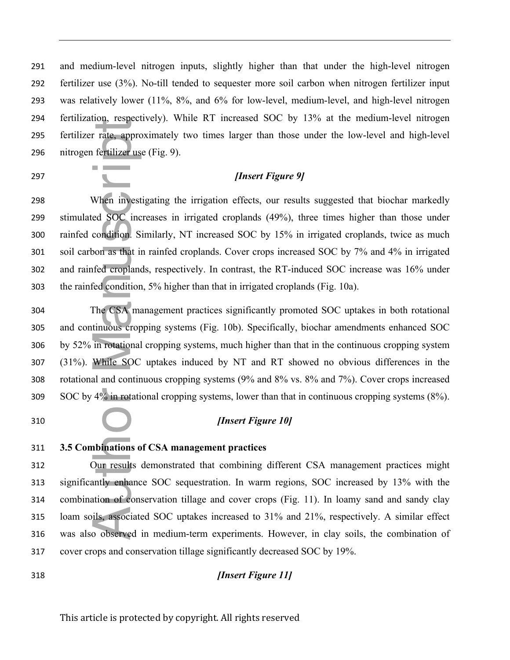and medium-level nitrogen inputs, slightly higher than that under the high-level nitrogen fertilizer use (3%). No-till tended to sequester more soil carbon when nitrogen fertilizer input was relatively lower (11%, 8%, and 6% for low-level, medium-level, and high-level nitrogen fertilization, respectively). While RT increased SOC by 13% at the medium-level nitrogen fertilizer rate, approximately two times larger than those under the low-level and high-level nitrogen fertilizer use (Fig. 9).

*[Insert Figure 9]*

 When investigating the irrigation effects, our results suggested that biochar markedly stimulated SOC increases in irrigated croplands (49%), three times higher than those under rainfed condition. Similarly, NT increased SOC by 15% in irrigated croplands, twice as much soil carbon as that in rainfed croplands. Cover crops increased SOC by 7% and 4% in irrigated and rainfed croplands, respectively. In contrast, the RT-induced SOC increase was 16% under the rainfed condition, 5% higher than that in irrigated croplands (Fig. 10a). **Extribution External Continuos External Continuos Extending Continuos External Continuos External Continuos** *Continuosity (Fig. 9). IInsert Figure 1298* **<b>When investigating the irrigation effects, our** 

 The CSA management practices significantly promoted SOC uptakes in both rotational and continuous cropping systems (Fig. 10b). Specifically, biochar amendments enhanced SOC by 52% in rotational cropping systems, much higher than that in the continuous cropping system (31%). While SOC uptakes induced by NT and RT showed no obvious differences in the rotational and continuous cropping systems (9% and 8% vs. 8% and 7%). Cover crops increased SOC by 4% in rotational cropping systems, lower than that in continuous cropping systems (8%).

### *[Insert Figure 10]*

### **3.5 Combinations of CSA management practices**

 Our results demonstrated that combining different CSA management practices might significantly enhance SOC sequestration. In warm regions, SOC increased by 13% with the combination of conservation tillage and cover crops (Fig. 11). In loamy sand and sandy clay loam soils, associated SOC uptakes increased to 31% and 21%, respectively. A similar effect was also observed in medium-term experiments. However, in clay soils, the combination of cover crops and conservation tillage significantly decreased SOC by 19%.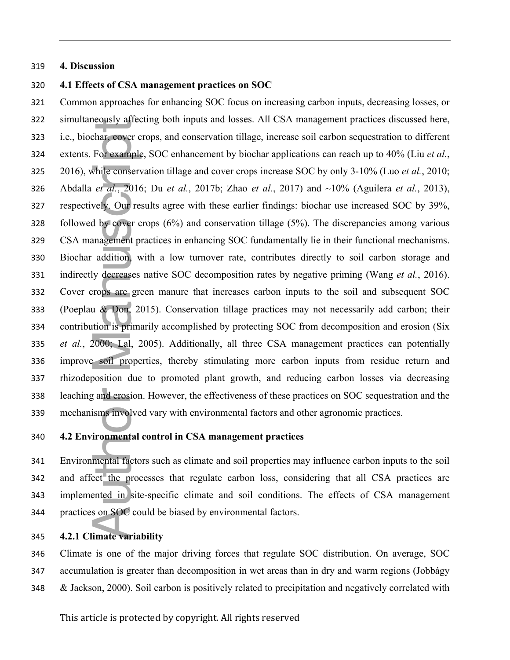### **4. Discussion**

### **4.1 Effects of CSA management practices on SOC**

 Common approaches for enhancing SOC focus on increasing carbon inputs, decreasing losses, or simultaneously affecting both inputs and losses. All CSA management practices discussed here, i.e., biochar, cover crops, and conservation tillage, increase soil carbon sequestration to different extents. For example, SOC enhancement by biochar applications can reach up to 40% (Liu *et al.*, 2016), while conservation tillage and cover crops increase SOC by only 3-10% (Luo *et al.*, 2010; Abdalla *et al.*, 2016; Du *et al.*, 2017b; Zhao *et al.*, 2017) and ~10% (Aguilera *et al.*, 2013), respectively. Our results agree with these earlier findings: biochar use increased SOC by 39%, followed by cover crops (6%) and conservation tillage (5%). The discrepancies among various CSA management practices in enhancing SOC fundamentally lie in their functional mechanisms. Biochar addition, with a low turnover rate, contributes directly to soil carbon storage and indirectly decreases native SOC decomposition rates by negative priming (Wang *et al.*, 2016). Cover crops are green manure that increases carbon inputs to the soil and subsequent SOC (Poeplau & Don, 2015). Conservation tillage practices may not necessarily add carbon; their contribution is primarily accomplished by protecting SOC from decomposition and erosion (Six *et al.*, 2000; Lal, 2005). Additionally, all three CSA management practices can potentially improve soil properties, thereby stimulating more carbon inputs from residue return and rhizodeposition due to promoted plant growth, and reducing carbon losses via decreasing leaching and erosion. However, the effectiveness of these practices on SOC sequestration and the mechanisms involved vary with environmental factors and other agronomic practices. 342 since the system of the exact of the system of the system of the system in the system of the system of the system of the carbon is positively correlated to the carbon is positively. So Containeering the system of the

### **4.2 Environmental control in CSA management practices**

 Environmental factors such as climate and soil properties may influence carbon inputs to the soil and affect the processes that regulate carbon loss, considering that all CSA practices are implemented in site-specific climate and soil conditions. The effects of CSA management practices on SOC could be biased by environmental factors.

### **4.2.1 Climate variability**

 Climate is one of the major driving forces that regulate SOC distribution. On average, SOC accumulation is greater than decomposition in wet areas than in dry and warm regions (Jobbágy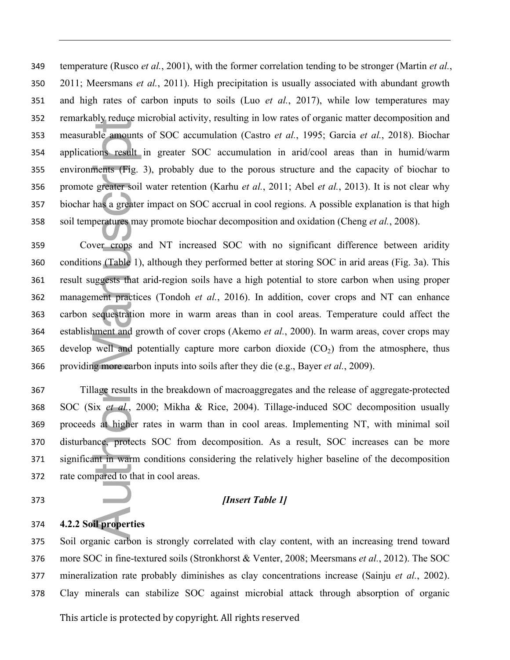temperature (Rusco *et al.*, 2001), with the former correlation tending to be stronger (Martin *et al.*, 2011; Meersmans *et al.*, 2011). High precipitation is usually associated with abundant growth and high rates of carbon inputs to soils (Luo *et al.*, 2017), while low temperatures may remarkably reduce microbial activity, resulting in low rates of organic matter decomposition and measurable amounts of SOC accumulation (Castro *et al.*, 1995; Garcia *et al.*, 2018). Biochar applications result in greater SOC accumulation in arid/cool areas than in humid/warm environments (Fig. 3), probably due to the porous structure and the capacity of biochar to promote greater soil water retention (Karhu *et al.*, 2011; Abel *et al.*, 2013). It is not clear why biochar has a greater impact on SOC accrual in cool regions. A possible explanation is that high soil temperatures may promote biochar decomposition and oxidation (Cheng *et al.*, 2008).

 Cover crops and NT increased SOC with no significant difference between aridity conditions (Table 1), although they performed better at storing SOC in arid areas (Fig. 3a). This result suggests that arid-region soils have a high potential to store carbon when using proper management practices (Tondoh *et al.*, 2016). In addition, cover crops and NT can enhance carbon sequestration more in warm areas than in cool areas. Temperature could affect the establishment and growth of cover crops (Akemo *et al.*, 2000). In warm areas, cover crops may 365 develop well and potentially capture more carbon dioxide  $(CO<sub>2</sub>)$  from the atmosphere, thus providing more carbon inputs into soils after they die (e.g., Bayer *et al.*, 2009). 383 measurable smannts of SOC accumulation (Castro et al., 1995; Garcia et al., 2018). Bisochar<br>
3913 measurable smannts of SOC accumulation in and/cool areas than in humid/warn<br>
3914 applications creating the garder SOC

 Tillage results in the breakdown of macroaggregates and the release of aggregate-protected SOC (Six *et al.*, 2000; Mikha & Rice, 2004). Tillage-induced SOC decomposition usually proceeds at higher rates in warm than in cool areas. Implementing NT, with minimal soil disturbance, protects SOC from decomposition. As a result, SOC increases can be more significant in warm conditions considering the relatively higher baseline of the decomposition rate compared to that in cool areas.

### *[Insert Table 1]*

### **4.2.2 Soil properties**

 Soil organic carbon is strongly correlated with clay content, with an increasing trend toward more SOC in fine-textured soils (Stronkhorst & Venter, 2008; Meersmans *et al.*, 2012). The SOC mineralization rate probably diminishes as clay concentrations increase (Sainju *et al.*, 2002).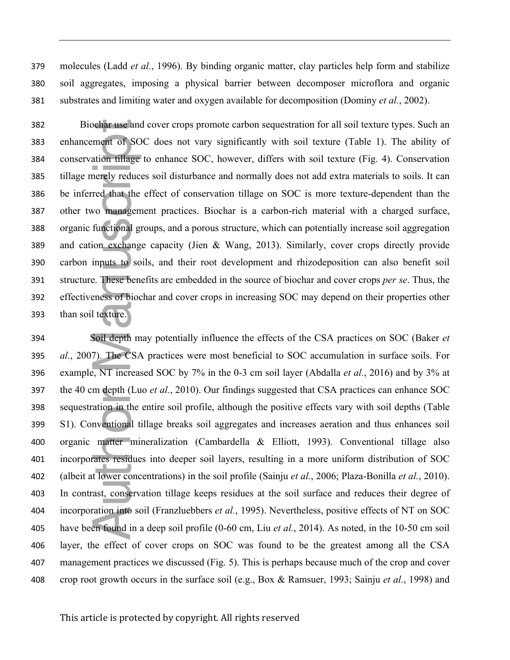molecules (Ladd *et al.*, 1996). By binding organic matter, clay particles help form and stabilize soil aggregates, imposing a physical barrier between decomposer microflora and organic substrates and limiting water and oxygen available for decomposition (Dominy *et al.*, 2002).

 Biochar use and cover crops promote carbon sequestration for all soil texture types. Such an enhancement of SOC does not vary significantly with soil texture (Table 1). The ability of conservation tillage to enhance SOC, however, differs with soil texture (Fig. 4). Conservation tillage merely reduces soil disturbance and normally does not add extra materials to soils. It can be inferred that the effect of conservation tillage on SOC is more texture-dependent than the other two management practices. Biochar is a carbon-rich material with a charged surface, organic functional groups, and a porous structure, which can potentially increase soil aggregation and cation exchange capacity (Jien & Wang, 2013). Similarly, cover crops directly provide carbon inputs to soils, and their root development and rhizodeposition can also benefit soil structure. These benefits are embedded in the source of biochar and cover crops *per se*. Thus, the effectiveness of biochar and cover crops in increasing SOC may depend on their properties other than soil texture.

 Soil depth may potentially influence the effects of the CSA practices on SOC (Baker *et al.*, 2007). The CSA practices were most beneficial to SOC accumulation in surface soils. For example, NT increased SOC by 7% in the 0-3 cm soil layer (Abdalla *et al.*, 2016) and by 3% at the 40 cm depth (Luo *et al.*, 2010). Our findings suggested that CSA practices can enhance SOC sequestration in the entire soil profile, although the positive effects vary with soil depths (Table S1). Conventional tillage breaks soil aggregates and increases aeration and thus enhances soil organic matter mineralization (Cambardella & Elliott, 1993). Conventional tillage also incorporates residues into deeper soil layers, resulting in a more uniform distribution of SOC (albeit at lower concentrations) in the soil profile (Sainju *et al.*, 2006; Plaza-Bonilla *et al.*, 2010). In contrast, conservation tillage keeps residues at the soil surface and reduces their degree of incorporation into soil (Franzluebbers *et al.*, 1995). Nevertheless, positive effects of NT on SOC have been found in a deep soil profile (0-60 cm, Liu *et al.*, 2014). As noted, in the 10-50 cm soil layer, the effect of cover crops on SOC was found to be the greatest among all the CSA management practices we discussed (Fig. 5). This is perhaps because much of the crop and cover Biochia used ind cover crops promote carbon sequestration for all soil texture types. Such an enhancement of SOC does not vary significantly with soil texture (Fig. 4). The ability of the surface soil disturbance and norm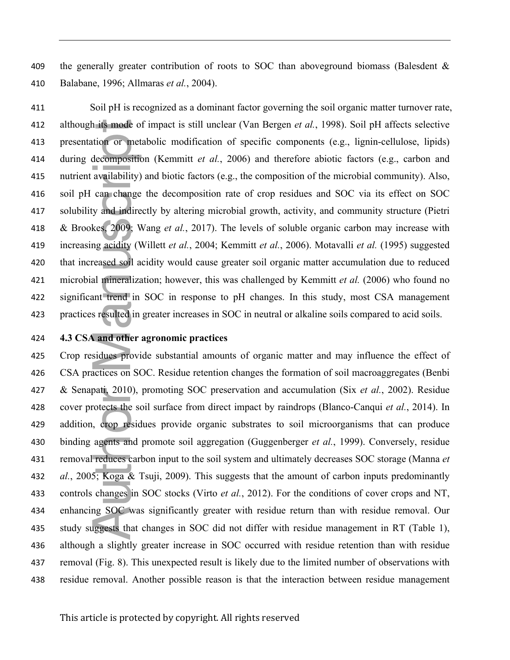the generally greater contribution of roots to SOC than aboveground biomass (Balesdent & Balabane, 1996; Allmaras *et al.*, 2004).

 Soil pH is recognized as a dominant factor governing the soil organic matter turnover rate, although its mode of impact is still unclear (Van Bergen *et al.*, 1998). Soil pH affects selective presentation or metabolic modification of specific components (e.g., lignin-cellulose, lipids) during decomposition (Kemmitt *et al.*, 2006) and therefore abiotic factors (e.g., carbon and nutrient availability) and biotic factors (e.g., the composition of the microbial community). Also, soil pH can change the decomposition rate of crop residues and SOC via its effect on SOC solubility and indirectly by altering microbial growth, activity, and community structure (Pietri & Brookes, 2009; Wang *et al.*, 2017). The levels of soluble organic carbon may increase with increasing acidity (Willett *et al.*, 2004; Kemmitt *et al.*, 2006). Motavalli *et al.* (1995) suggested that increased soil acidity would cause greater soil organic matter accumulation due to reduced microbial mineralization; however, this was challenged by Kemmitt *et al.* (2006) who found no significant trend in SOC in response to pH changes. In this study, most CSA management practices resulted in greater increases in SOC in neutral or alkaline soils compared to acid soils.

### **4.3 CSA and other agronomic practices**

 Crop residues provide substantial amounts of organic matter and may influence the effect of CSA practices on SOC. Residue retention changes the formation of soil macroaggregates (Benbi & Senapati, 2010), promoting SOC preservation and accumulation (Six *et al.*, 2002). Residue cover protects the soil surface from direct impact by raindrops (Blanco-Canqui *et al.*, 2014). In addition, crop residues provide organic substrates to soil microorganisms that can produce binding agents and promote soil aggregation (Guggenberger *et al.*, 1999). Conversely, residue removal reduces carbon input to the soil system and ultimately decreases SOC storage (Manna *et al.*, 2005; Koga & Tsuji, 2009). This suggests that the amount of carbon inputs predominantly controls changes in SOC stocks (Virto *et al.*, 2012). For the conditions of cover crops and NT, enhancing SOC was significantly greater with residue return than with residue removal. Our study suggests that changes in SOC did not differ with residue management in RT (Table 1), although a slightly greater increase in SOC occurred with residue retention than with residue removal (Fig. 8). This unexpected result is likely due to the limited number of observations with 432 although sitematic of impact is still unclear (Van Bregen *et at*, 1998). Soil pH affects selective of specializon of special components (e.g., igain c-ellubose, juidaly addition distinguison of specializon is the int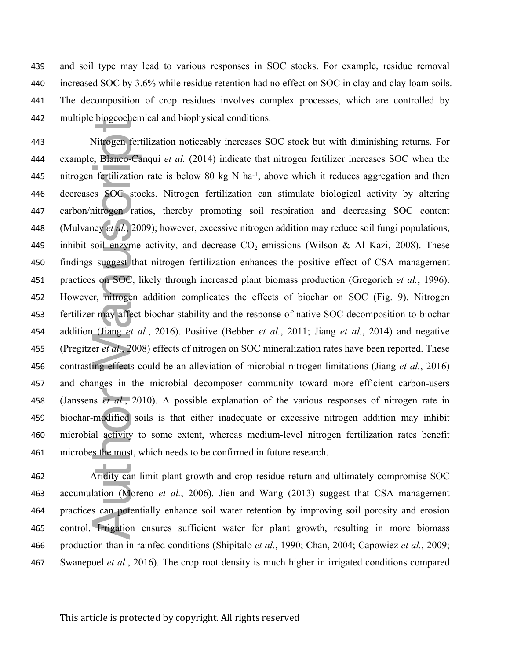and soil type may lead to various responses in SOC stocks. For example, residue removal increased SOC by 3.6% while residue retention had no effect on SOC in clay and clay loam soils. The decomposition of crop residues involves complex processes, which are controlled by multiple biogeochemical and biophysical conditions.

 Nitrogen fertilization noticeably increases SOC stock but with diminishing returns. For example, Blanco-Canqui *et al.* (2014) indicate that nitrogen fertilizer increases SOC when the 445 nitrogen fertilization rate is below 80 kg N ha<sup>-1</sup>, above which it reduces aggregation and then decreases SOC stocks. Nitrogen fertilization can stimulate biological activity by altering carbon/nitrogen ratios, thereby promoting soil respiration and decreasing SOC content (Mulvaney *et al.*, 2009); however, excessive nitrogen addition may reduce soil fungi populations, 449 inhibit soil enzyme activity, and decrease  $CO<sub>2</sub>$  emissions (Wilson & Al Kazi, 2008). These findings suggest that nitrogen fertilization enhances the positive effect of CSA management practices on SOC, likely through increased plant biomass production (Gregorich *et al.*, 1996). However, nitrogen addition complicates the effects of biochar on SOC (Fig. 9). Nitrogen fertilizer may affect biochar stability and the response of native SOC decomposition to biochar addition (Jiang *et al.*, 2016). Positive (Bebber *et al.*, 2011; Jiang *et al.*, 2014) and negative (Pregitzer *et al.*, 2008) effects of nitrogen on SOC mineralization rates have been reported. These contrasting effects could be an alleviation of microbial nitrogen limitations (Jiang *et al.*, 2016) and changes in the microbial decomposer community toward more efficient carbon-users (Janssens *et al.*, 2010). A possible explanation of the various responses of nitrogen rate in biochar-modified soils is that either inadequate or excessive nitrogen addition may inhibit microbial activity to some extent, whereas medium-level nitrogen fertilization rates benefit microbes the most, which needs to be confirmed in future research. Swanepoel et al., 2016). And the crop of stock but with diminishing returns For cample. **Plance-Chaquiter** *at al.* (2014) indicate that nitrogen fertilizer increases SOC when the autrogen fertilization rate is belo

 Aridity can limit plant growth and crop residue return and ultimately compromise SOC accumulation (Moreno *et al.*, 2006). Jien and Wang (2013) suggest that CSA management practices can potentially enhance soil water retention by improving soil porosity and erosion control. Irrigation ensures sufficient water for plant growth, resulting in more biomass production than in rainfed conditions (Shipitalo *et al.*, 1990; Chan, 2004; Capowiez *et al.*, 2009;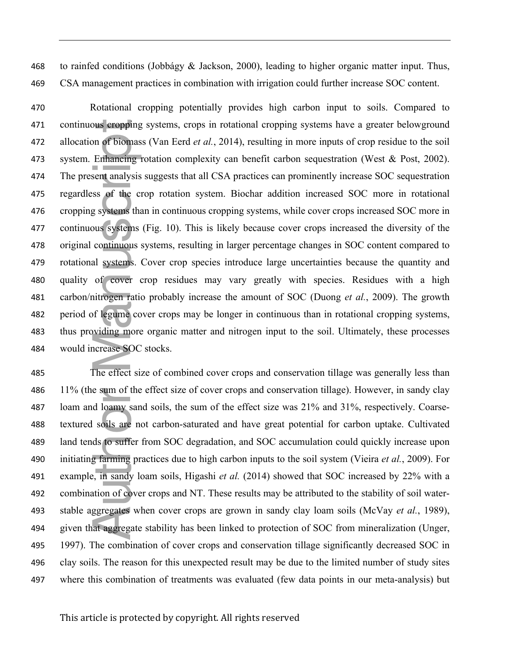to rainfed conditions (Jobbágy & Jackson, 2000), leading to higher organic matter input. Thus, CSA management practices in combination with irrigation could further increase SOC content.

 Rotational cropping potentially provides high carbon input to soils. Compared to continuous cropping systems, crops in rotational cropping systems have a greater belowground allocation of biomass (Van Eerd *et al.*, 2014), resulting in more inputs of crop residue to the soil system. Enhancing rotation complexity can benefit carbon sequestration (West & Post, 2002). The present analysis suggests that all CSA practices can prominently increase SOC sequestration regardless of the crop rotation system. Biochar addition increased SOC more in rotational cropping systems than in continuous cropping systems, while cover crops increased SOC more in continuous systems (Fig. 10). This is likely because cover crops increased the diversity of the original continuous systems, resulting in larger percentage changes in SOC content compared to rotational systems. Cover crop species introduce large uncertainties because the quantity and quality of cover crop residues may vary greatly with species. Residues with a high carbon/nitrogen ratio probably increase the amount of SOC (Duong *et al.*, 2009). The growth period of legume cover crops may be longer in continuous than in rotational cropping systems, thus providing more organic matter and nitrogen input to the soil. Ultimately, these processes would increase SOC stocks. continuous enopping systems, crops in rotational corping systems have a greater belowground<br>1972 allocation of Elorences (Van Eerd of ad., 2014), resulting in more injusted of tree since to the soil<br>1973 system. Einfustni

 The effect size of combined cover crops and conservation tillage was generally less than 11% (the sum of the effect size of cover crops and conservation tillage). However, in sandy clay loam and loamy sand soils, the sum of the effect size was 21% and 31%, respectively. Coarse- textured soils are not carbon-saturated and have great potential for carbon uptake. Cultivated land tends to suffer from SOC degradation, and SOC accumulation could quickly increase upon initiating farming practices due to high carbon inputs to the soil system (Vieira *et al.*, 2009). For example, in sandy loam soils, Higashi *et al.* (2014) showed that SOC increased by 22% with a combination of cover crops and NT. These results may be attributed to the stability of soil water- stable aggregates when cover crops are grown in sandy clay loam soils (McVay *et al.*, 1989), given that aggregate stability has been linked to protection of SOC from mineralization (Unger, 1997). The combination of cover crops and conservation tillage significantly decreased SOC in clay soils. The reason for this unexpected result may be due to the limited number of study sites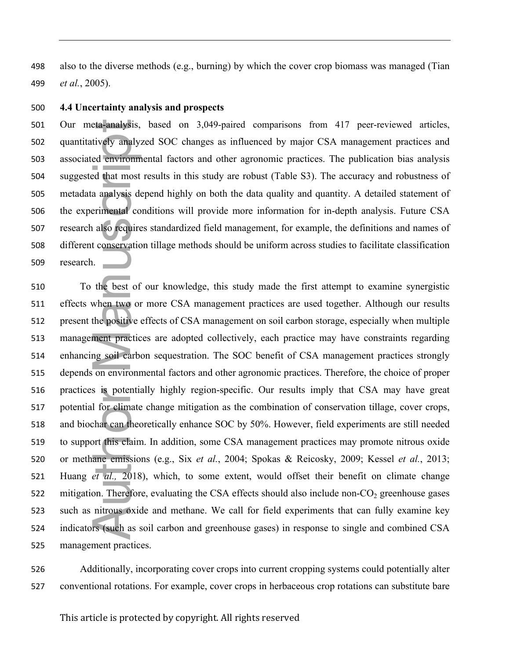also to the diverse methods (e.g., burning) by which the cover crop biomass was managed (Tian *et al.*, 2005).

### **4.4 Uncertainty analysis and prospects**

 Our meta-analysis, based on 3,049-paired comparisons from 417 peer-reviewed articles, quantitatively analyzed SOC changes as influenced by major CSA management practices and associated environmental factors and other agronomic practices. The publication bias analysis suggested that most results in this study are robust (Table S3). The accuracy and robustness of metadata analysis depend highly on both the data quality and quantity. A detailed statement of the experimental conditions will provide more information for in-depth analysis. Future CSA research also requires standardized field management, for example, the definitions and names of different conservation tillage methods should be uniform across studies to facilitate classification research.

 To the best of our knowledge, this study made the first attempt to examine synergistic effects when two or more CSA management practices are used together. Although our results present the positive effects of CSA management on soil carbon storage, especially when multiple management practices are adopted collectively, each practice may have constraints regarding enhancing soil carbon sequestration. The SOC benefit of CSA management practices strongly depends on environmental factors and other agronomic practices. Therefore, the choice of proper practices is potentially highly region-specific. Our results imply that CSA may have great potential for climate change mitigation as the combination of conservation tillage, cover crops, and biochar can theoretically enhance SOC by 50%. However, field experiments are still needed to support this claim. In addition, some CSA management practices may promote nitrous oxide or methane emissions (e.g., Six *et al.*, 2004; Spokas & Reicosky, 2009; Kessel *et al.*, 2013; Huang *et al.,* 2018), which, to some extent, would offset their benefit on climate change 522 mitigation. Therefore, evaluating the CSA effects should also include non- $CO<sub>2</sub>$  greenhouse gases such as nitrous oxide and methane. We call for field experiments that can fully examine key indicators (such as soil carbon and greenhouse gases) in response to single and combined CSA management practices. 561 Our metal-analysis, based on 3,049-paired comparisons from 417 per-reviewed articles,<br>502 quantitatively substyced SOC changes as influenced by major CSA management practices and<br>suspected that mast results in this st

Additionally, incorporating cover crops into current cropping systems could potentially alter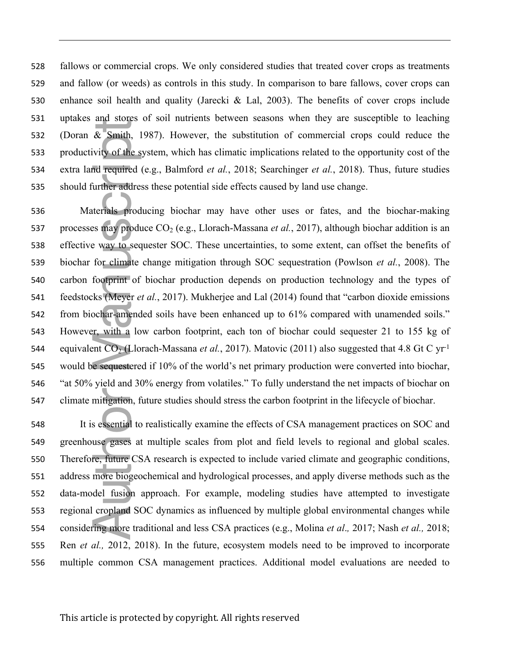fallows or commercial crops. We only considered studies that treated cover crops as treatments and fallow (or weeds) as controls in this study. In comparison to bare fallows, cover crops can enhance soil health and quality (Jarecki & Lal, 2003). The benefits of cover crops include uptakes and stores of soil nutrients between seasons when they are susceptible to leaching 532 (Doran  $\&$  Smith, 1987). However, the substitution of commercial crops could reduce the productivity of the system, which has climatic implications related to the opportunity cost of the extra land required (e.g., Balmford *et al.*, 2018; Searchinger *et al.*, 2018). Thus, future studies should further address these potential side effects caused by land use change.

 Materials producing biochar may have other uses or fates, and the biochar-making 537 processes may produce  $CO_2$  (e.g., Llorach-Massana *et al.*, 2017), although biochar addition is an effective way to sequester SOC. These uncertainties, to some extent, can offset the benefits of biochar for climate change mitigation through SOC sequestration (Powlson *et al.*, 2008). The carbon footprint of biochar production depends on production technology and the types of feedstocks (Meyer *et al.*, 2017). Mukherjee and Lal (2014) found that "carbon dioxide emissions from biochar-amended soils have been enhanced up to 61% compared with unamended soils." However, with a low carbon footprint, each ton of biochar could sequester 21 to 155 kg of 544 equivalent CO<sub>2</sub> (Llorach-Massana *et al.*, 2017). Matovic (2011) also suggested that 4.8 Gt C yr<sup>-1</sup> would be sequestered if 10% of the world's net primary production were converted into biochar, "at 50% yield and 30% energy from volatiles." To fully understand the net impacts of biochar on climate mitigation, future studies should stress the carbon footprint in the lifecycle of biochar. **EXECUTE:** (Doran & Simith, 1987). However, the substitution of commercial crops could reduce the productives of the gyard model and temperated of evaluations related to the opportunity cost of the evaluation of the share

 It is essential to realistically examine the effects of CSA management practices on SOC and greenhouse gases at multiple scales from plot and field levels to regional and global scales. Therefore, future CSA research is expected to include varied climate and geographic conditions, address more biogeochemical and hydrological processes, and apply diverse methods such as the data-model fusion approach. For example, modeling studies have attempted to investigate regional cropland SOC dynamics as influenced by multiple global environmental changes while considering more traditional and less CSA practices (e.g., Molina *et al*.*,* 2017; Nash *et al.,* 2018; Ren *et al.,* 2012, 2018). In the future, ecosystem models need to be improved to incorporate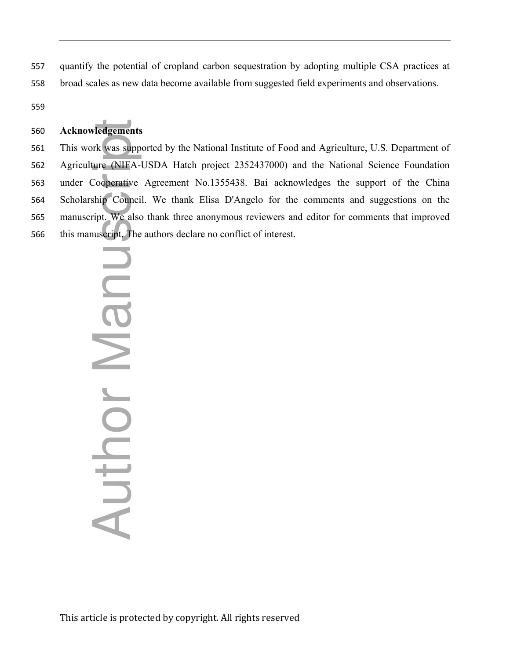quantify the potential of cropland carbon sequestration by adopting multiple CSA practices at broad scales as new data become available from suggested field experiments and observations.

# **Acknowledgements**

 This work was supported by the National Institute of Food and Agriculture, U.S. Department of Agriculture (NIFA-USDA Hatch project 2352437000) and the National Science Foundation under Cooperative Agreement No.1355438. Bai acknowledges the support of the China Scholarship Council. We thank Elisa D'Angelo for the comments and suggestions on the manuscript. We also thank three anonymous reviewers and editor for comments that improved

566 this manuscript. The authors declare no conflict of interest.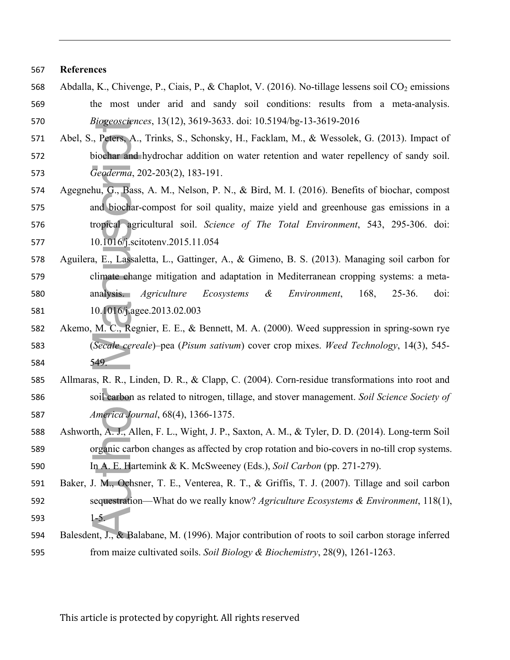### **References**

- 568 Abdalla, K., Chivenge, P., Ciais, P., & Chaplot, V. (2016). No-tillage lessens soil CO<sub>2</sub> emissions the most under arid and sandy soil conditions: results from a meta-analysis. *Biogeosciences*, 13(12), 3619-3633. doi: 10.5194/bg-13-3619-2016
- Abel, S., Peters, A., Trinks, S., Schonsky, H., Facklam, M., & Wessolek, G. (2013). Impact of biochar and hydrochar addition on water retention and water repellency of sandy soil. *Geoderma*, 202-203(2), 183-191.
- Agegnehu, G., Bass, A. M., Nelson, P. N., & Bird, M. I. (2016). Benefits of biochar, compost and biochar-compost for soil quality, maize yield and greenhouse gas emissions in a tropical agricultural soil. *Science of The Total Environment*, 543, 295-306. doi: 10.1016/j.scitotenv.2015.11.054  $\frac{1}{5}$  followscreences, 15(12), 361<br>
5951 Abel, S., Peters, A., Trinks, S., Scl<br>
5952 biochar and hydrochar addi<br>
5953 Geoderma, 202-203(2), 183-<br>
5955 and biochar-compost for sc<br>
tropical agricultural soil.<br>
10.1016/j
- Aguilera, E., Lassaletta, L., Gattinger, A., & Gimeno, B. S. (2013). Managing soil carbon for climate change mitigation and adaptation in Mediterranean cropping systems: a meta- analysis. *Agriculture Ecosystems & Environment*, 168, 25-36. doi: 10.1016/j.agee.2013.02.003
- Akemo, M. C., Regnier, E. E., & Bennett, M. A. (2000). Weed suppression in spring-sown rye (*Secale cereale*)–pea (*Pisum sativum*) cover crop mixes. *Weed Technology*, 14(3), 545- 549.
- Allmaras, R. R., Linden, D. R., & Clapp, C. (2004). Corn-residue transformations into root and soil carbon as related to nitrogen, tillage, and stover management. *Soil Science Society of America Journal*, 68(4), 1366-1375.
- Ashworth, A. J., Allen, F. L., Wight, J. P., Saxton, A. M., & Tyler, D. D. (2014). Long-term Soil organic carbon changes as affected by crop rotation and bio-covers in no-till crop systems. In A. E. Hartemink & K. McSweeney (Eds.), *Soil Carbon* (pp. 271-279).
- Baker, J. M., Ochsner, T. E., Venterea, R. T., & Griffis, T. J. (2007). Tillage and soil carbon sequestration—What do we really know? *Agriculture Ecosystems & Environment*, 118(1), 1-5.
- Balesdent, J., & Balabane, M. (1996). Major contribution of roots to soil carbon storage inferred *Soil Biology & Biochemistry*, 28(9), 1261-1263.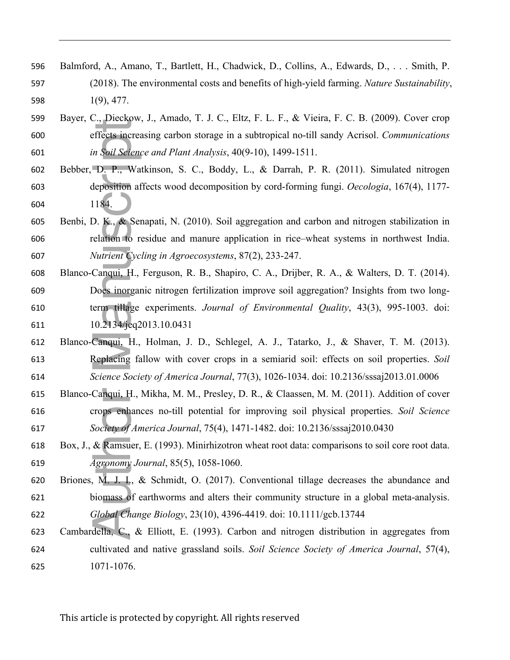- Balmford, A., Amano, T., Bartlett, H., Chadwick, D., Collins, A., Edwards, D., . . . Smith, P. (2018). The environmental costs and benefits of high-yield farming. *Nature Sustainability*, 1(9), 477.
- Bayer, C., Dieckow, J., Amado, T. J. C., Eltz, F. L. F., & Vieira, F. C. B. (2009). Cover crop effects increasing carbon storage in a subtropical no-till sandy Acrisol. *Communications in Soil Science and Plant Analysis*, 40(9-10), 1499-1511.
- Bebber, D. P., Watkinson, S. C., Boddy, L., & Darrah, P. R. (2011). Simulated nitrogen deposition affects wood decomposition by cord-forming fungi. *Oecologia*, 167(4), 1177- 1184.
- Benbi, D. K., & Senapati, N. (2010). Soil aggregation and carbon and nitrogen stabilization in relation to residue and manure application in rice–wheat systems in northwest India. *Nutrient Cycling in Agroecosystems*, 87(2), 233-247.
- Blanco-Canqui, H., Ferguson, R. B., Shapiro, C. A., Drijber, R. A., & Walters, D. T. (2014). Does inorganic nitrogen fertilization improve soil aggregation? Insights from two long- term tillage experiments. *Journal of Environmental Quality*, 43(3), 995-1003. doi: 10.2134/jeq2013.10.0431 Exercise Internation of the Southern 1880<br>600 effects increased and the Southern 1884. Nearbor 1884. Nearbor 1884. Nearbor 1884. Nearbor 1884. Nearbor 1886. Blanco-Canqui, H., 1896. Does increased and term tillage 10.2134/
- Blanco-Canqui, H., Holman, J. D., Schlegel, A. J., Tatarko, J., & Shaver, T. M. (2013). Replacing fallow with cover crops in a semiarid soil: effects on soil properties. *Soil Science Society of America Journal*, 77(3), 1026-1034. doi: 10.2136/sssaj2013.01.0006
- Blanco-Canqui, H., Mikha, M. M., Presley, D. R., & Claassen, M. M. (2011). Addition of cover crops enhances no-till potential for improving soil physical properties. *Soil Science Society of America Journal*, 75(4), 1471-1482. doi: 10.2136/sssaj2010.0430
- Box, J., & Ramsuer, E. (1993). Minirhizotron wheat root data: comparisons to soil core root data. *Agronomy Journal*, 85(5), 1058-1060.
- Briones, M. J. I., & Schmidt, O. (2017). Conventional tillage decreases the abundance and biomass of earthworms and alters their community structure in a global meta-analysis. *Global Change Biology*, 23(10), 4396-4419. doi: 10.1111/gcb.13744
- Cambardella, C., & Elliott, E. (1993). Carbon and nitrogen distribution in aggregates from cultivated and native grassland soils. *Soil Science Society of America Journal*, 57(4),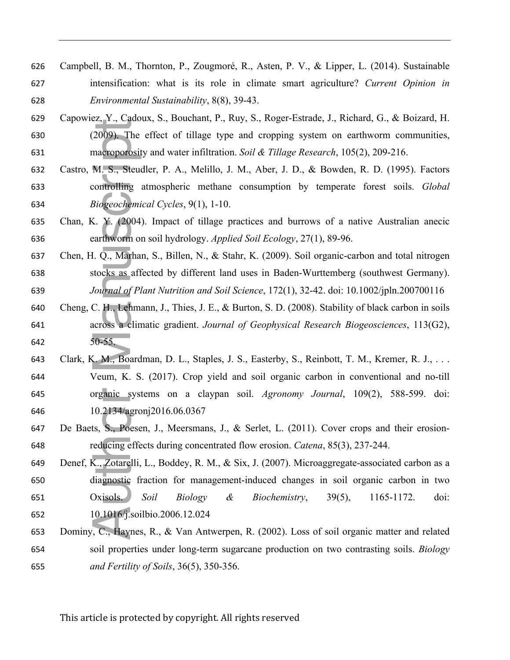- Campbell, B. M., Thornton, P., Zougmoré, R., Asten, P. V., & Lipper, L. (2014). Sustainable intensification: what is its role in climate smart agriculture? *Current Opinion in Environmental Sustainability*, 8(8), 39-43.
- Capowiez, Y., Cadoux, S., Bouchant, P., Ruy, S., Roger-Estrade, J., Richard, G., & Boizard, H. (2009). The effect of tillage type and cropping system on earthworm communities, macroporosity and water infiltration. *Soil & Tillage Research*, 105(2), 209-216.
- Castro, M. S., Steudler, P. A., Melillo, J. M., Aber, J. D., & Bowden, R. D. (1995). Factors controlling atmospheric methane consumption by temperate forest soils. *Global Biogeochemical Cycles*, 9(1), 1-10.
- Chan, K. Y. (2004). Impact of tillage practices and burrows of a native Australian anecic earthworm on soil hydrology. *Applied Soil Ecology*, 27(1), 89-96.
- Chen, H. Q., Marhan, S., Billen, N., & Stahr, K. (2009). Soil organic-carbon and total nitrogen stocks as affected by different land uses in Baden-Wurttemberg (southwest Germany). *Journal of Plant Nutrition and Soil Science*, 172(1), 32-42. doi: 10.1002/jpln.200700116
- Cheng, C. H., Lehmann, J., Thies, J. E., & Burton, S. D. (2008). Stability of black carbon in soils across a climatic gradient. *Journal of Geophysical Research Biogeosciences*, 113(G2), 50-55.
- Clark, K. M., Boardman, D. L., Staples, J. S., Easterby, S., Reinbott, T. M., Kremer, R. J., . . . Veum, K. S. (2017). Crop yield and soil organic carbon in conventional and no-till organic systems on a claypan soil. *Agronomy Journal*, 109(2), 588-599. doi: 10.2134/agronj2016.06.0367
- De Baets, S., Poesen, J., Meersmans, J., & Serlet, L. (2011). Cover crops and their erosion-reducing effects during concentrated flow erosion. *Catena*, 85(3), 237-244.
- Denef, K., Zotarelli, L., Boddey, R. M., & Six, J. (2007). Microaggregate-associated carbon as a diagnostic fraction for management-induced changes in soil organic carbon in two Oxisols. *Soil Biology & Biochemistry*, 39(5), 1165-1172. doi: 10.1016/j.soilbio.2006.12.024 665 **and Fertility of Solution**<br>650 **controlling** the effect of tillage type a<br>651 **macroporosity and water infiltration**. S<br>652 **Castro, M. S., Steudler, P. A., Melillo, J. N**<br>663 **controlling** atmospheric methanc *Biolog*
- Dominy, C., Haynes, R., & Van Antwerpen, R. (2002). Loss of soil organic matter and related soil properties under long-term sugarcane production on two contrasting soils. *Biology*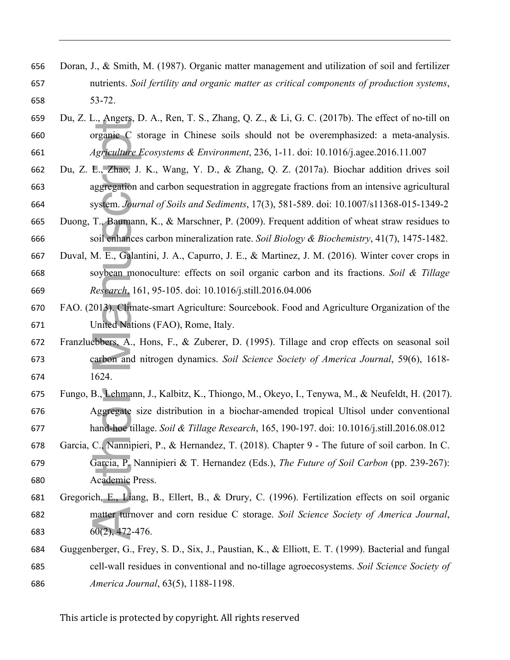- Doran, J., & Smith, M. (1987). Organic matter management and utilization of soil and fertilizer nutrients. *Soil fertility and organic matter as critical components of production systems*, 53-72.
- Du, Z. L., Angers, D. A., Ren, T. S., Zhang, Q. Z., & Li, G. C. (2017b). The effect of no-till on organic C storage in Chinese soils should not be overemphasized: a meta-analysis. *Agriculture Ecosystems & Environment*, 236, 1-11. doi: 10.1016/j.agee.2016.11.007
- Du, Z. L., Zhao, J. K., Wang, Y. D., & Zhang, Q. Z. (2017a). Biochar addition drives soil aggregation and carbon sequestration in aggregate fractions from an intensive agricultural system. *Journal of Soils and Sediments*, 17(3), 581-589. doi: 10.1007/s11368-015-1349-2
- Duong, T., Baumann, K., & Marschner, P. (2009). Frequent addition of wheat straw residues to soil enhances carbon mineralization rate. *Soil Biology & Biochemistry*, 41(7), 1475-1482.
- Duval, M. E., Galantini, J. A., Capurro, J. E., & Martinez, J. M. (2016). Winter cover crops in soybean monoculture: effects on soil organic carbon and its fractions. *Soil & Tillage Research*, 161, 95-105. doi: 10.1016/j.still.2016.04.006
- FAO. (2013). Climate-smart Agriculture: Sourcebook. Food and Agriculture Organization of the United Nations (FAO), Rome, Italy.
- Franzluebbers, A., Hons, F., & Zuberer, D. (1995). Tillage and crop effects on seasonal soil carbon and nitrogen dynamics. *Soil Science Society of America Journal*, 59(6), 1618- 1624.
- Fungo, B., Lehmann, J., Kalbitz, K., Thiongo, M., Okeyo, I., Tenywa, M., & Neufeldt, H. (2017). Aggregate size distribution in a biochar-amended tropical Ultisol under conventional hand-hoe tillage. *Soil & Tillage Research*, 165, 190-197. doi: 10.1016/j.still.2016.08.012
- Garcia, C., Nannipieri, P., & Hernandez, T. (2018). Chapter 9 The future of soil carbon. In C. Garcia, P. Nannipieri & T. Hernandez (Eds.), *The Future of Soil Carbon* (pp. 239-267): Academic Press.
- Gregorich, E., Liang, B., Ellert, B., & Drury, C. (1996). Fertilization effects on soil organic matter turnover and corn residue C storage. *Soil Science Society of America Journal*, 60(2), 472-476. 666<br>
666 *Agriculture Ecosystems & Environm*<br>
667 Du, Z. E., Zhao, J. K., Wang, Y. D., & :<br>
4griculture Ecosystems & Environm<br>
662 Du, Z. E., Zhao, J. K., Wang, Y. D., & :<br>
4gricom and carbon sequestration<br>
666 Duong, T.,
- Guggenberger, G., Frey, S. D., Six, J., Paustian, K., & Elliott, E. T. (1999). Bacterial and fungal cell-wall residues in conventional and no-tillage agroecosystems. *Soil Science Society of*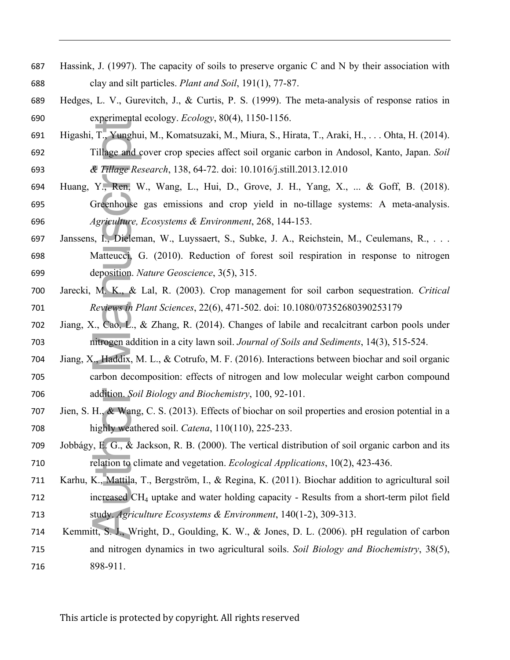- Hassink, J. (1997). The capacity of soils to preserve organic C and N by their association with clay and silt particles. *Plant and Soil*, 191(1), 77-87.
- Hedges, L. V., Gurevitch, J., & Curtis, P. S. (1999). The meta-analysis of response ratios in experimental ecology. *Ecology*, 80(4), 1150-1156.
- Higashi, T., Yunghui, M., Komatsuzaki, M., Miura, S., Hirata, T., Araki, H., . . . Ohta, H. (2014).
- Tillage and cover crop species affect soil organic carbon in Andosol, Kanto, Japan. *Soil & Tillage Research*, 138, 64-72. doi: 10.1016/j.still.2013.12.010
- Huang, Y., Ren, W., Wang, L., Hui, D., Grove, J. H., Yang, X., ... & Goff, B. (2018). Greenhouse gas emissions and crop yield in no-tillage systems: A meta-analysis. *Agriculture, Ecosystems & Environment*, 268, 144-153.
- Janssens, I., Dieleman, W., Luyssaert, S., Subke, J. A., Reichstein, M., Ceulemans, R., . . . Matteucci, G. (2010). Reduction of forest soil respiration in response to nitrogen deposition. *Nature Geoscience*, 3(5), 315.
- Jarecki, M. K., & Lal, R. (2003). Crop management for soil carbon sequestration. *Critical Reviews in Plant Sciences*, 22(6), 471-502. doi: 10.1080/07352680390253179
- Jiang, X., Cao, L., & Zhang, R. (2014). Changes of labile and recalcitrant carbon pools under nitrogen addition in a city lawn soil. *Journal of Soils and Sediments*, 14(3), 515-524.
- Jiang, X., Haddix, M. L., & Cotrufo, M. F. (2016). Interactions between biochar and soil organic carbon decomposition: effects of nitrogen and low molecular weight carbon compound addition. *Soil Biology and Biochemistry*, 100, 92-101.
- Jien, S. H., & Wang, C. S. (2013). Effects of biochar on soil properties and erosion potential in a highly weathered soil. *Catena*, 110(110), 225-233.
- Jobbágy, E. G., & Jackson, R. B. (2000). The vertical distribution of soil organic carbon and its relation to climate and vegetation. *Ecological Applications*, 10(2), 423-436.
- Karhu, K., Mattila, T., Bergström, I., & Regina, K. (2011). Biochar addition to agricultural soil increased CH4 uptake and water holding capacity - Results from a short-term pilot field study. *Agriculture Ecosystems & Environment*, 140(1-2), 309-313.
- Kemmitt, S. J., Wright, D., Goulding, K. W., & Jones, D. L. (2006). pH regulation of carbon and nitrogen dynamics in two agricultural soils. *Soil Biology and Biochemistry*, 38(5), 16 Bigashi, T., Yunghu<br>
1692 Tillage and C<br>
17 Fillage and C<br>
18 Fillage Re<br>
18 Grienhouse<br>
18 Grienhouse<br>
18 Grienhouse<br>
18 Grienhouse<br>
18 Agriculture, 18 Grienhouse<br>
18 Matteuce, C<br>
18 Matteuce, C<br>
18 Matteuce, C<br>
18 Mat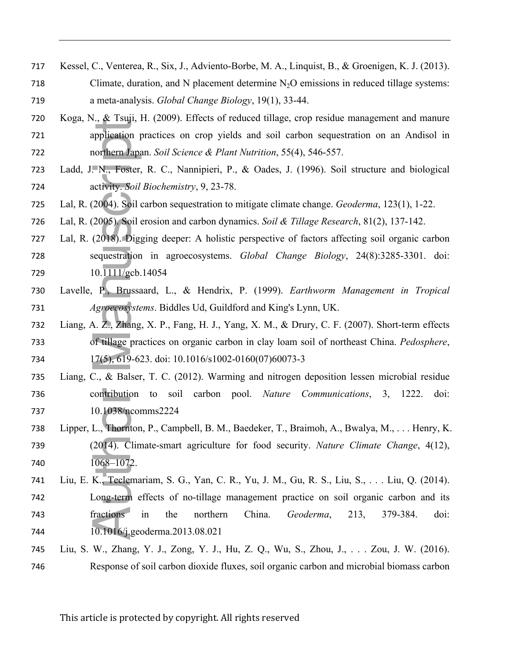- Kessel, C., Venterea, R., Six, J., Adviento-Borbe, M. A., Linquist, B., & Groenigen, K. J. (2013). 718 Climate, duration, and N placement determine  $N_2O$  emissions in reduced tillage systems: a meta-analysis. *Global Change Biology*, 19(1), 33-44.
- Koga, N., & Tsuji, H. (2009). Effects of reduced tillage, crop residue management and manure application practices on crop yields and soil carbon sequestration on an Andisol in northern Japan. *Soil Science & Plant Nutrition*, 55(4), 546-557.
- 723 Ladd, J. N., Foster, R. C., Nannipieri, P., & Oades, J. (1996). Soil structure and biological activity. *Soil Biochemistry*, 9, 23-78.
- Lal, R. (2004). Soil carbon sequestration to mitigate climate change. *Geoderma*, 123(1), 1-22.
- Lal, R. (2005). Soil erosion and carbon dynamics. *Soil & Tillage Research*, 81(2), 137-142.
- Lal, R. (2018). Digging deeper: A holistic perspective of factors affecting soil organic carbon sequestration in agroecosystems. *Global Change Biology*, 24(8):3285-3301. doi: 729 10.1111/gcb.14054
- Lavelle, P., Brussaard, L., & Hendrix, P. (1999). *Earthworm Management in Tropical Agroecosystems*. Biddles Ud, Guildford and King's Lynn, UK.
- Liang, A. Z., Zhang, X. P., Fang, H. J., Yang, X. M., & Drury, C. F. (2007). Short-term effects of tillage practices on organic carbon in clay loam soil of northeast China. *Pedosphere*, 17(5), 619-623. doi: 10.1016/s1002-0160(07)60073-3
- Liang, C., & Balser, T. C. (2012). Warming and nitrogen deposition lessen microbial residue contribution to soil carbon pool. *Nature Communications*, 3, 1222. doi: 10.1038/ncomms2224
- Lipper, L., Thornton, P., Campbell, B. M., Baedeker, T., Braimoh, A., Bwalya, M., . . . Henry, K. (2014). Climate-smart agriculture for food security. *Nature Climate Change*, 4(12), 1068–1072.
- Liu, E. K., Teclemariam, S. G., Yan, C. R., Yu, J. M., Gu, R. S., Liu, S., . . . Liu, Q. (2014). Long-term effects of no-tillage management practice on soil organic carbon and its fractions in the northern China. *Geoderma*, 213, 379-384. doi: 10.1016/j.geoderma.2013.08.021 **THE CONSTRANT CONSTRANT CONSTRANT CONSTRANT CONSTRANT CONSTRANT CONSTRANT CONSTRANT CONSTRANT CONSTRANT CONSTRANT CONSTRANT CONSTRANT CONSTRANT CONSTRANT CONSTRANT CONSTRANT CONSTRANT CONSTRANT CONSTRANT CONSTRANT CONSTR**
- Liu, S. W., Zhang, Y. J., Zong, Y. J., Hu, Z. Q., Wu, S., Zhou, J., . . . Zou, J. W. (2016).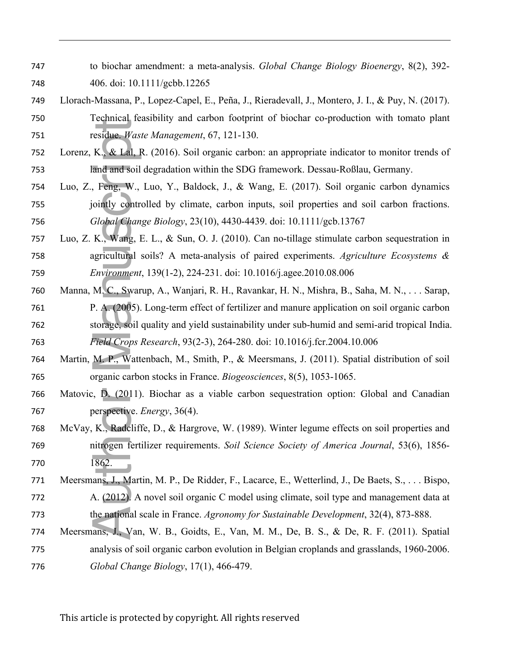- to biochar amendment: a meta-analysis. *Global Change Biology Bioenergy*, 8(2), 392- 406. doi: 10.1111/gcbb.12265
- Llorach-Massana, P., Lopez-Capel, E., Peña, J., Rieradevall, J., Montero, J. I., & Puy, N. (2017). Technical feasibility and carbon footprint of biochar co-production with tomato plant residue. *Waste Management*, 67, 121-130.
- Lorenz, K., & Lal, R. (2016). Soil organic carbon: an appropriate indicator to monitor trends of land and soil degradation within the SDG framework. Dessau-Roßlau, Germany.
- Luo, Z., Feng, W., Luo, Y., Baldock, J., & Wang, E. (2017). Soil organic carbon dynamics 755 jointly controlled by climate, carbon inputs, soil properties and soil carbon fractions. *Global Change Biology*, 23(10), 4430-4439. doi: 10.1111/gcb.13767
- Luo, Z. K., Wang, E. L., & Sun, O. J. (2010). Can no-tillage stimulate carbon sequestration in agricultural soils? A meta-analysis of paired experiments. *Agriculture Ecosystems & Environment*, 139(1-2), 224-231. doi: 10.1016/j.agee.2010.08.006
- Manna, M. C., Swarup, A., Wanjari, R. H., Ravankar, H. N., Mishra, B., Saha, M. N., . . . Sarap, P. A. (2005). Long-term effect of fertilizer and manure application on soil organic carbon storage, soil quality and yield sustainability under sub-humid and semi-arid tropical India. *Field Crops Research*, 93(2-3), 264-280. doi: 10.1016/j.fcr.2004.10.006 1761<br>
1761 **Cance Waste Management**, 67, 121-13<br>
1761 **Corenz, K., & Lal**, R. (2016). Soil organic carbo<br>
1764 Luo, Z., Feng, W., Luo, Y., Baldock, J., & Windows 1765<br>
1860 *Global Change Biology*, 23(10), 4430-44<br>
1767 Lu
- Martin, M. P., Wattenbach, M., Smith, P., & Meersmans, J. (2011). Spatial distribution of soil organic carbon stocks in France. *Biogeosciences*, 8(5), 1053-1065.
- Matovic, D. (2011). Biochar as a viable carbon sequestration option: Global and Canadian perspective. *Energy*, 36(4).
- McVay, K., Radcliffe, D., & Hargrove, W. (1989). Winter legume effects on soil properties and nitrogen fertilizer requirements. *Soil Science Society of America Journal*, 53(6), 1856- 1862.
- Meersmans, J., Martin, M. P., De Ridder, F., Lacarce, E., Wetterlind, J., De Baets, S., . . . Bispo, A. (2012). A novel soil organic C model using climate, soil type and management data at the national scale in France. *Agronomy for Sustainable Development*, 32(4), 873-888.
- Meersmans, J., Van, W. B., Goidts, E., Van, M. M., De, B. S., & De, R. F. (2011). Spatial analysis of soil organic carbon evolution in Belgian croplands and grasslands, 1960-2006.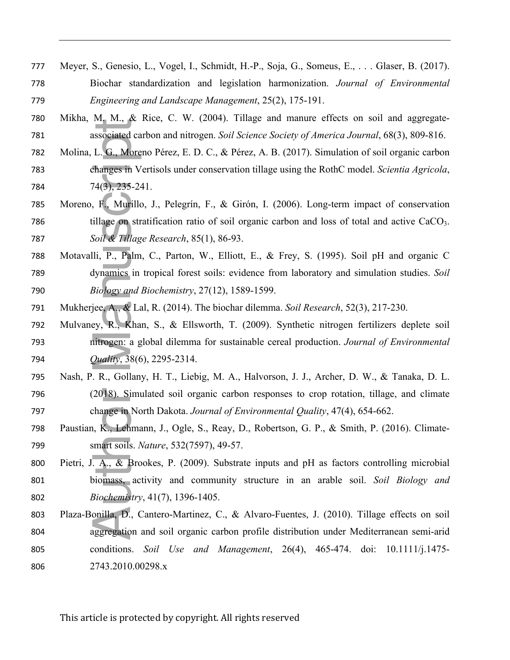- Meyer, S., Genesio, L., Vogel, I., Schmidt, H.-P., Soja, G., Someus, E., . . . Glaser, B. (2017). Biochar standardization and legislation harmonization. *Journal of Environmental Engineering and Landscape Management*, 25(2), 175-191.
- Mikha, M. M., & Rice, C. W. (2004). Tillage and manure effects on soil and aggregate-associated carbon and nitrogen. *Soil Science Society of America Journal*, 68(3), 809-816.
- Molina, L. G., Moreno Pérez, E. D. C., & Pérez, A. B. (2017). Simulation of soil organic carbon changes in Vertisols under conservation tillage using the RothC model. *Scientia Agricola*, 74(3), 235-241.
- Moreno, F., Murillo, J., Pelegrín, F., & Girón, I. (2006). Long-term impact of conservation 786 tillage on stratification ratio of soil organic carbon and loss of total and active  $CaCO<sub>3</sub>$ . *Soil & Tillage Research*, 85(1), 86-93.
- Motavalli, P., Palm, C., Parton, W., Elliott, E., & Frey, S. (1995). Soil pH and organic C dynamics in tropical forest soils: evidence from laboratory and simulation studies. *Soil Biology and Biochemistry*, 27(12), 1589-1599.
- Mukherjee, A., & Lal, R. (2014). The biochar dilemma. *Soil Research*, 52(3), 217-230.
- Mulvaney, R., Khan, S., & Ellsworth, T. (2009). Synthetic nitrogen fertilizers deplete soil nitrogen: a global dilemma for sustainable cereal production. *Journal of Environmental Quality*, 38(6), 2295-2314.
- Nash, P. R., Gollany, H. T., Liebig, M. A., Halvorson, J. J., Archer, D. W., & Tanaka, D. L. (2018). Simulated soil organic carbon responses to crop rotation, tillage, and climate change in North Dakota. *Journal of Environmental Quality*, 47(4), 654-662.
- Paustian, K., Lehmann, J., Ogle, S., Reay, D., Robertson, G. P., & Smith, P. (2016). Climate-smart soils. *Nature*, 532(7597), 49-57.
- 800 Pietri, J. A., & Brookes, P. (2009). Substrate inputs and pH as factors controlling microbial biomass, activity and community structure in an arable soil. *Soil Biology and Biochemistry*, 41(7), 1396-1405.
- Plaza-Bonilla, D., Cantero-Martinez, C., & Alvaro-Fuentes, J. (2010). Tillage effects on soil aggregation and soil organic carbon profile distribution under Mediterranean semi-arid conditions. *Soil Use and Management*, 26(4), 465-474. doi: 10.1111/j.1475- 181 associated carbon a<br>
182 Molina, L. G., Moreno Pér<br>
183 changes in Vertisol<br>
184 74(3), 235-241.<br>
185 Moreno, F., Murillo, J., I<br>
186 tillage on stratifica<br>
187 Soil & Tillage Rese<br>
188 Motavalli, P., Palm, C., 1<br>
189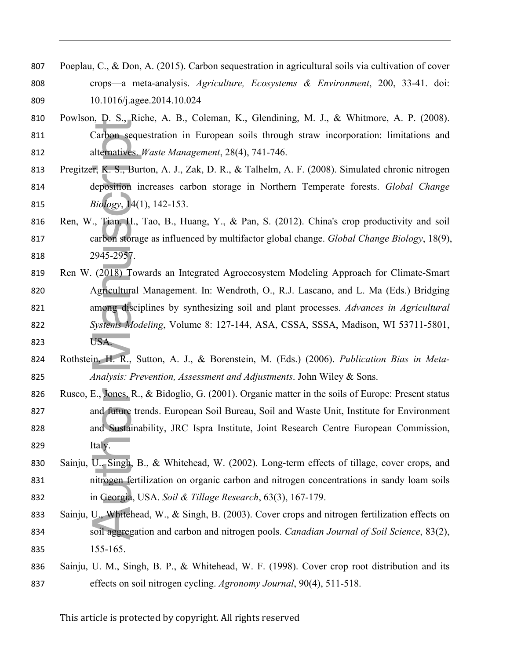- Poeplau, C., & Don, A. (2015). Carbon sequestration in agricultural soils via cultivation of cover crops—a meta-analysis. *Agriculture, Ecosystems & Environment*, 200, 33-41. doi: 10.1016/j.agee.2014.10.024
- Powlson, D. S., Riche, A. B., Coleman, K., Glendining, M. J., & Whitmore, A. P. (2008). Carbon sequestration in European soils through straw incorporation: limitations and alternatives. *Waste Management*, 28(4), 741-746.
- Pregitzer, K. S., Burton, A. J., Zak, D. R., & Talhelm, A. F. (2008). Simulated chronic nitrogen deposition increases carbon storage in Northern Temperate forests. *Global Change Biology*, 14(1), 142-153.
- Ren, W., Tian, H., Tao, B., Huang, Y., & Pan, S. (2012). China's crop productivity and soil carbon storage as influenced by multifactor global change. *Global Change Biology*, 18(9), 2945-2957.
- Ren W. (2018) Towards an Integrated Agroecosystem Modeling Approach for Climate-Smart Agricultural Management. In: Wendroth, O., R.J. Lascano, and L. Ma (Eds.) Bridging among disciplines by synthesizing soil and plant processes. *Advances in Agricultural Systems Modeling*, Volume 8: 127-144, ASA, CSSA, SSSA, Madison, WI 53711-5801, USA. 831 Carbon sequestration in European soils through straw incorpora<br>
812 Carbon sequestration in European soils through straw incorpora<br>
813 Pregitzer, K. S., Hutton, A. J., Zak, D. R., & Talhelm, A. F. (2008). Simulate<br>
81
- Rothstein, H. R., Sutton, A. J., & Borenstein, M. (Eds.) (2006). *Publication Bias in Meta-Analysis: Prevention, Assessment and Adjustments*. John Wiley & Sons.
- Rusco, E., Jones, R., & Bidoglio, G. (2001). Organic matter in the soils of Europe: Present status and future trends. European Soil Bureau, Soil and Waste Unit, Institute for Environment and Sustainability, JRC Ispra Institute, Joint Research Centre European Commission, Italy.
- 830 Sainju, U., Singh, B., & Whitehead, W. (2002). Long-term effects of tillage, cover crops, and nitrogen fertilization on organic carbon and nitrogen concentrations in sandy loam soils in Georgia, USA. *Soil & Tillage Research*, 63(3), 167-179.
- 833 Sainju, U., Whitehead, W., & Singh, B. (2003). Cover crops and nitrogen fertilization effects on soil aggregation and carbon and nitrogen pools. *Canadian Journal of Soil Science*, 83(2), 155-165.
- Sainju, U. M., Singh, B. P., & Whitehead, W. F. (1998). Cover crop root distribution and its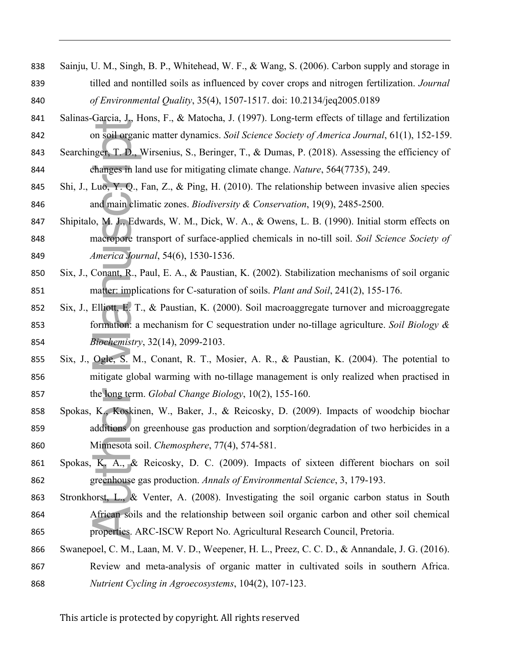- 838 Sainju, U. M., Singh, B. P., Whitehead, W. F., & Wang, S. (2006). Carbon supply and storage in tilled and nontilled soils as influenced by cover crops and nitrogen fertilization. *Journal of Environmental Quality*, 35(4), 1507-1517. doi: 10.2134/jeq2005.0189
- Salinas-Garcia, J., Hons, F., & Matocha, J. (1997). Long-term effects of tillage and fertilization on soil organic matter dynamics. *Soil Science Society of America Journal*, 61(1), 152-159.
- Searchinger, T. D., Wirsenius, S., Beringer, T., & Dumas, P. (2018). Assessing the efficiency of changes in land use for mitigating climate change. *Nature*, 564(7735), 249.
- Shi, J., Luo, Y. Q., Fan, Z., & Ping, H. (2010). The relationship between invasive alien species and main climatic zones. *Biodiversity & Conservation*, 19(9), 2485-2500.
- Shipitalo, M. J., Edwards, W. M., Dick, W. A., & Owens, L. B. (1990). Initial storm effects on macropore transport of surface-applied chemicals in no-till soil. *Soil Science Society of America Journal*, 54(6), 1530-1536.
- Six, J., Conant, R., Paul, E. A., & Paustian, K. (2002). Stabilization mechanisms of soil organic matter: implications for C-saturation of soils. *Plant and Soil*, 241(2), 155-176.
- Six, J., Elliott, E. T., & Paustian, K. (2000). Soil macroaggregate turnover and microaggregate formation: a mechanism for C sequestration under no-tillage agriculture. *Soil Biology & Biochemistry*, 32(14), 2099-2103.
- Six, J., Ogle, S. M., Conant, R. T., Mosier, A. R., & Paustian, K. (2004). The potential to mitigate global warming with no-tillage management is only realized when practised in the long term. *Global Change Biology*, 10(2), 155-160.
- Spokas, K., Koskinen, W., Baker, J., & Reicosky, D. (2009). Impacts of woodchip biochar additions on greenhouse gas production and sorption/degradation of two herbicides in a Minnesota soil. *Chemosphere*, 77(4), 574-581. **Consults Agroecosystems**, Soli Science Society on Soli Science Society on Soli Science Society on Starting S. Soli Science Society Agroecosys Readmann Chinatter dynamics, Soli Science Society Canger, T., & Dumas, P. c
- Spokas, K. A., & Reicosky, D. C. (2009). Impacts of sixteen different biochars on soil greenhouse gas production. *Annals of Environmental Science*, 3, 179-193.
- Stronkhorst, L., & Venter, A. (2008). Investigating the soil organic carbon status in South African soils and the relationship between soil organic carbon and other soil chemical properties. ARC-ISCW Report No. Agricultural Research Council, Pretoria.
- Swanepoel, C. M., Laan, M. V. D., Weepener, H. L., Preez, C. C. D., & Annandale, J. G. (2016). Review and meta-analysis of organic matter in cultivated soils in southern Africa.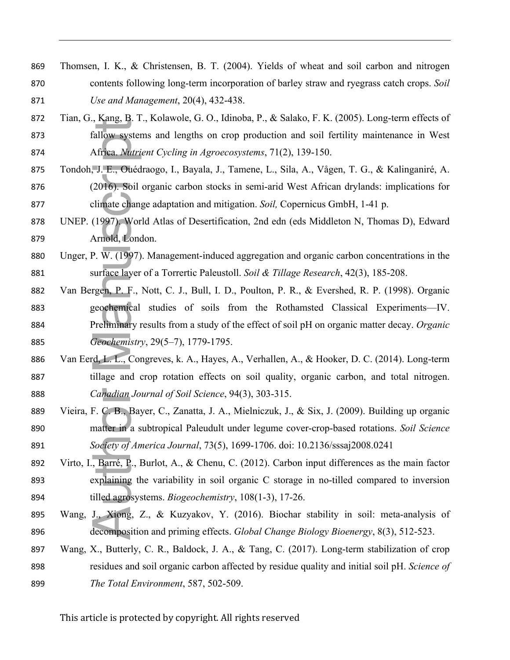- Thomsen, I. K., & Christensen, B. T. (2004). Yields of wheat and soil carbon and nitrogen contents following long-term incorporation of barley straw and ryegrass catch crops. *Soil Use and Management*, 20(4), 432-438.
- Tian, G., Kang, B. T., Kolawole, G. O., Idinoba, P., & Salako, F. K. (2005). Long-term effects of fallow systems and lengths on crop production and soil fertility maintenance in West Africa. *Nutrient Cycling in Agroecosystems*, 71(2), 139-150.
- Tondoh, J. E., Ouédraogo, I., Bayala, J., Tamene, L., Sila, A., Vågen, T. G., & Kalinganiré, A. (2016). Soil organic carbon stocks in semi-arid West African drylands: implications for climate change adaptation and mitigation. *Soil,* Copernicus GmbH, 1-41 p.
- UNEP. (1997). World Atlas of Desertification, 2nd edn (eds Middleton N, Thomas D), Edward Arnold, London.
- 880 Unger, P. W. (1997). Management-induced aggregation and organic carbon concentrations in the surface layer of a Torrertic Paleustoll. *Soil & Tillage Research*, 42(3), 185-208.
- Van Bergen, P. F., Nott, C. J., Bull, I. D., Poulton, P. R., & Evershed, R. P. (1998). Organic geochemical studies of soils from the Rothamsted Classical Experiments—IV. Preliminary results from a study of the effect of soil pH on organic matter decay. *Organic Geochemistry*, 29(5–7), 1779-1795. 1887<br>
899 **The Total Environment** Cycling in Agroecosys<br>
899 **Form Africa** *Nutrient Cycling in Agroecosys***<br>
899 <b>Tondoh, J. E., Ouédraogo**, I., Bayala, J., Tam<br>
897 (2016) Soil organic carbon stocks in<br>
1877 UNEP. (1997) W
- Van Eerd, L. L., Congreves, k. A., Hayes, A., Verhallen, A., & Hooker, D. C. (2014). Long-term tillage and crop rotation effects on soil quality, organic carbon, and total nitrogen. *Canadian Journal of Soil Science*, 94(3), 303-315.
- Vieira, F. C. B., Bayer, C., Zanatta, J. A., Mielniczuk, J., & Six, J. (2009). Building up organic matter in a subtropical Paleudult under legume cover-crop-based rotations. *Soil Science Society of America Journal*, 73(5), 1699-1706. doi: 10.2136/sssaj2008.0241
- Virto, I., Barré, P., Burlot, A., & Chenu, C. (2012). Carbon input differences as the main factor explaining the variability in soil organic C storage in no-tilled compared to inversion tilled agrosystems. *Biogeochemistry*, 108(1-3), 17-26.
- Wang, J., Xiong, Z., & Kuzyakov, Y. (2016). Biochar stability in soil: meta-analysis of decomposition and priming effects. *Global Change Biology Bioenergy*, 8(3), 512-523.
- 897 Wang, X., Butterly, C. R., Baldock, J. A., & Tang, C. (2017). Long-term stabilization of crop residues and soil organic carbon affected by residue quality and initial soil pH. *Science of*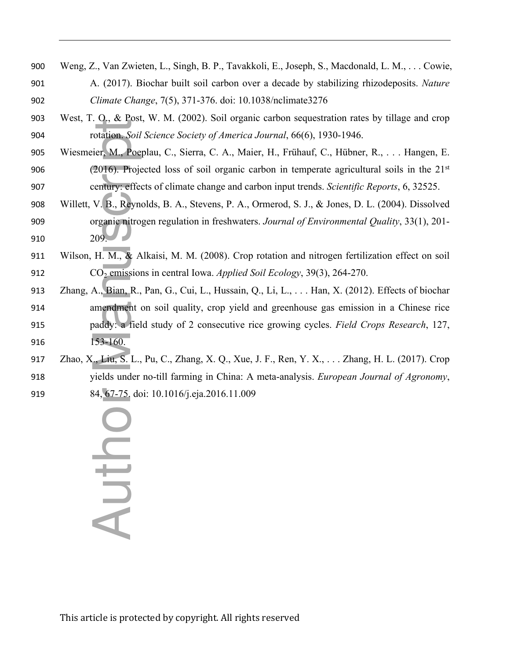- Weng, Z., Van Zwieten, L., Singh, B. P., Tavakkoli, E., Joseph, S., Macdonald, L. M., . . . Cowie, A. (2017). Biochar built soil carbon over a decade by stabilizing rhizodeposits. *Nature Climate Change*, 7(5), 371-376. doi: 10.1038/nclimate3276
- West, T. O., & Post, W. M. (2002). Soil organic carbon sequestration rates by tillage and crop rotation. *Soil Science Society of America Journal*, 66(6), 1930-1946.
- Wiesmeier, M., Poeplau, C., Sierra, C. A., Maier, H., Frühauf, C., Hübner, R., . . . Hangen, E. 906 (2016). Projected loss of soil organic carbon in temperate agricultural soils in the  $21<sup>st</sup>$ century: effects of climate change and carbon input trends. *Scientific Reports*, 6, 32525.
- Willett, V. B., Reynolds, B. A., Stevens, P. A., Ormerod, S. J., & Jones, D. L. (2004). Dissolved organic nitrogen regulation in freshwaters. *Journal of Environmental Quality*, 33(1), 201- 209.
- 911 Wilson, H. M., & Alkaisi, M. M. (2008). Crop rotation and nitrogen fertilization effect on soil 912 CO<sub>2</sub> emissions in central Iowa. *Applied Soil Ecology*, 39(3), 264-270.
- Zhang, A., Bian, R., Pan, G., Cui, L., Hussain, Q., Li, L., . . . Han, X. (2012). Effects of biochar amendment on soil quality, crop yield and greenhouse gas emission in a Chinese rice paddy: a field study of 2 consecutive rice growing cycles. *Field Crops Research*, 127, 153-160. 994<br>
919 Wilson, F. P. Stern, C. A., Maia<br>
1906 Wilsonere, M., Poeplau, C., Sierra, C. A., Maia<br>
(2016). Projected loss of soil organic executive effects of climate change and can<br>
908 Willett, V. B., Reynolds, B. A., Stev
- Zhao, X., Liu, S. L., Pu, C., Zhang, X. Q., Xue, J. F., Ren, Y. X., . . . Zhang, H. L. (2017). Crop yields under no-till farming in China: A meta-analysis. *European Journal of Agronomy*,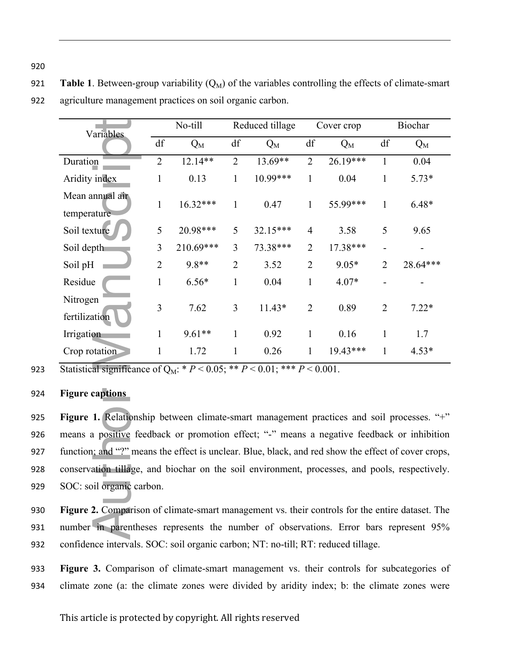|                   | Variables                                                                                                                                                                                                   | No-till                |            | Reduced tillage |          | Cover crop             |            | Biochar        |          |  |
|-------------------|-------------------------------------------------------------------------------------------------------------------------------------------------------------------------------------------------------------|------------------------|------------|-----------------|----------|------------------------|------------|----------------|----------|--|
|                   |                                                                                                                                                                                                             | $\mathrm{d}\mathbf{f}$ | $Q_M$      | df              | $Q_M$    | $\mathrm{d}\mathrm{f}$ | $Q_M$      | df             | $Q_M$    |  |
|                   | Duration                                                                                                                                                                                                    | $\overline{2}$         | 12.14**    | $\overline{2}$  | 13.69**  | $\overline{2}$         | $26.19***$ | $\mathbf{1}$   | 0.04     |  |
|                   | Aridity index                                                                                                                                                                                               | $\mathbf{1}$           | 0.13       | $\mathbf{1}$    | 10.99*** | $\mathbf{1}$           | 0.04       | $\mathbf{1}$   | $5.73*$  |  |
|                   | Mean annual air<br>temperature                                                                                                                                                                              | $\mathbf{1}$           | $16.32***$ | $\mathbf{1}$    | 0.47     | $\mathbf{1}$           | 55.99***   | $\mathbf{1}$   | $6.48*$  |  |
|                   | Soil texture                                                                                                                                                                                                | 5                      | 20.98***   | 5               | 32.15*** | $\overline{4}$         | 3.58       | 5              | 9.65     |  |
|                   | Soil depth                                                                                                                                                                                                  | 3                      | 210.69***  | 3               | 73.38*** | $\overline{2}$         | 17.38***   |                |          |  |
|                   | Soil pH                                                                                                                                                                                                     | $\overline{2}$         | 9.8**      | $\overline{2}$  | 3.52     | $\overline{2}$         | $9.05*$    | $\overline{2}$ | 28.64*** |  |
|                   | Residue                                                                                                                                                                                                     | $\mathbf{1}$           | $6.56*$    | $\mathbf{1}$    | 0.04     | $\mathbf{1}$           | $4.07*$    |                |          |  |
|                   | Nitrogen                                                                                                                                                                                                    |                        | 7.62       |                 | $11.43*$ | $\overline{2}$         |            |                |          |  |
|                   | fertilization                                                                                                                                                                                               | $\overline{3}$         |            | 3               |          |                        | 0.89       | $\overline{2}$ | $7.22*$  |  |
|                   | Irrigation                                                                                                                                                                                                  | 1                      | $9.61**$   | $\mathbf{1}$    | 0.92     | $\mathbf{1}$           | 0.16       | $\mathbf{1}$   | 1.7      |  |
|                   | Crop rotation                                                                                                                                                                                               | $\mathbf{1}$           | 1.72       | $\mathbf{1}$    | 0.26     | $\mathbf{1}$           | 19.43***   | $\mathbf{1}$   | $4.53*$  |  |
| 923<br>924<br>925 | Statistical significance of $Q_M$ : * $P < 0.05$ ; ** $P < 0.01$ ; *** $P < 0.001$ .<br><b>Figure captions</b><br>Figure 1. Relationship between climate-smart management practices and soil processes. "+" |                        |            |                 |          |                        |            |                |          |  |
| 926               | means a positive feedback or promotion effect; "-" means a negative feedback or inhibition                                                                                                                  |                        |            |                 |          |                        |            |                |          |  |
| 927               | function; and "?" means the effect is unclear. Blue, black, and red show the effect of cover crops,                                                                                                         |                        |            |                 |          |                        |            |                |          |  |
| 928               | conservation tillage, and biochar on the soil environment, processes, and pools, respectively.                                                                                                              |                        |            |                 |          |                        |            |                |          |  |
| 929               | SOC: soil organic carbon.                                                                                                                                                                                   |                        |            |                 |          |                        |            |                |          |  |
| 930               | Figure 2. Comparison of climate-smart management vs. their controls for the entire dataset. The                                                                                                             |                        |            |                 |          |                        |            |                |          |  |
| 931               | number in parentheses represents the number of observations. Error bars represent 95%                                                                                                                       |                        |            |                 |          |                        |            |                |          |  |
| 932               | confidence intervals. SOC: soil organic carbon; NT: no-till; RT: reduced tillage.                                                                                                                           |                        |            |                 |          |                        |            |                |          |  |
| 933               | Figure 3. Comparison of climate-smart management vs. their controls for subcategories of                                                                                                                    |                        |            |                 |          |                        |            |                |          |  |
| 934               | climate zone (a: the climate zones were divided by aridity index; b: the climate zones were                                                                                                                 |                        |            |                 |          |                        |            |                |          |  |

921 **Table 1**. Between-group variability  $(Q_M)$  of the variables controlling the effects of climate-smart 922 agriculture management practices on soil organic carbon.

### 924 **Figure captions**

This article is protected by copyright. All rights reserved

920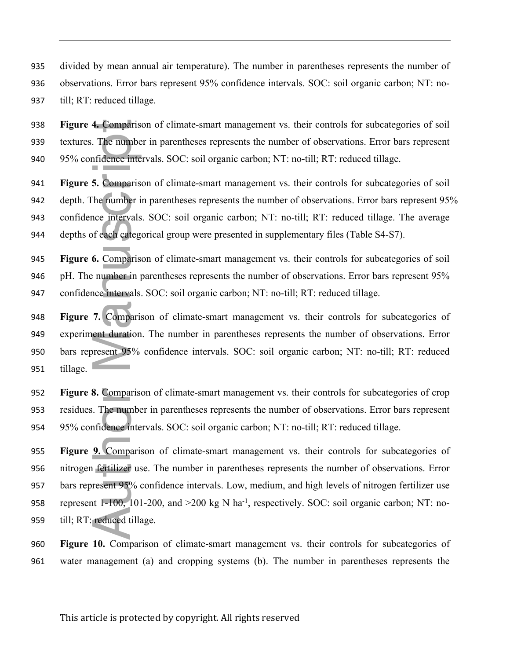divided by mean annual air temperature). The number in parentheses represents the number of observations. Error bars represent 95% confidence intervals. SOC: soil organic carbon; NT: no-till; RT: reduced tillage.

 **Figure 4.** Comparison of climate-smart management vs. their controls for subcategories of soil textures. The number in parentheses represents the number of observations. Error bars represent 95% confidence intervals. SOC: soil organic carbon; NT: no-till; RT: reduced tillage.

 **Figure 5.** Comparison of climate-smart management vs. their controls for subcategories of soil depth. The number in parentheses represents the number of observations. Error bars represent 95% confidence intervals. SOC: soil organic carbon; NT: no-till; RT: reduced tillage. The average depths of each categorical group were presented in supplementary files (Table S4-S7).

 **Figure 6.** Comparison of climate-smart management vs. their controls for subcategories of soil pH. The number in parentheses represents the number of observations. Error bars represent 95% confidence intervals. SOC: soil organic carbon; NT: no-till; RT: reduced tillage.

 **Figure 7.** Comparison of climate-smart management vs. their controls for subcategories of experiment duration. The number in parentheses represents the number of observations. Error bars represent 95% confidence intervals. SOC: soil organic carbon; NT: no-till; RT: reduced 951 tillage.

 **Figure 8.** Comparison of climate-smart management vs. their controls for subcategories of crop residues. The number in parentheses represents the number of observations. Error bars represent 95% confidence intervals. SOC: soil organic carbon; NT: no-till; RT: reduced tillage.

 **Figure 9.** Comparison of climate-smart management vs. their controls for subcategories of nitrogen fertilizer use. The number in parentheses represents the number of observations. Error bars represent 95% confidence intervals. Low, medium, and high levels of nitrogen fertilizer use 958 represent 1-100, 101-200, and >200 kg N ha<sup>-1</sup>, respectively. SOC: soil organic carbon; NT: no- till; RT: reduced tillage. Figure 4. Complision of climate-smart management vs. their controls for subcategories of soil<br>1993 textures The marculates in parentheses represents the number of observations. Error bars represent<br>1994 West confide

**Figure 10.** Comparison of climate-smart management vs. their controls for subcategories of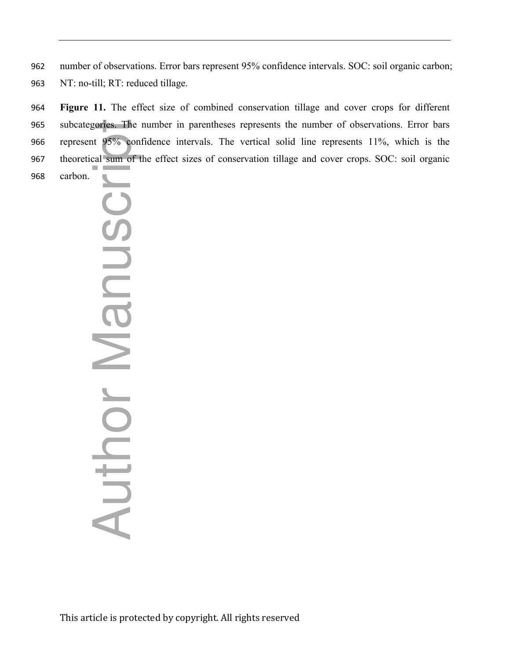962 number of observations. Error bars represent 95% confidence intervals. SOC: soil organic carbon; 963 NT: no-till; RT: reduced tillage.

 **Figure 11.** The effect size of combined conservation tillage and cover crops for different subcategories. The number in parentheses represents the number of observations. Error bars represent 95% confidence intervals. The vertical solid line represents 11%, which is the theoretical sum of the effect sizes of conservation tillage and cover crops. SOC: soil organic

968 carbon.

Buries. The Contract of the S5% contract of the S5% contract of the S5% contract of the S5% contract of the S5% contract of the S5% contract of the S5% contract of the S5% contract of the S5% contract of the S5% contract o DSUNBN **NOL HUY**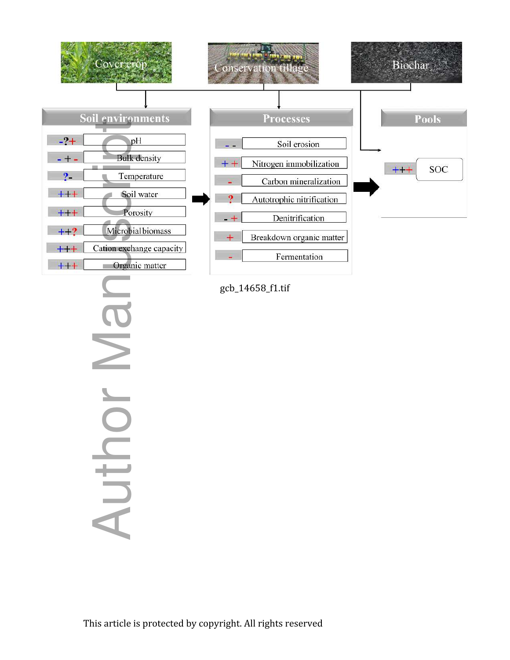

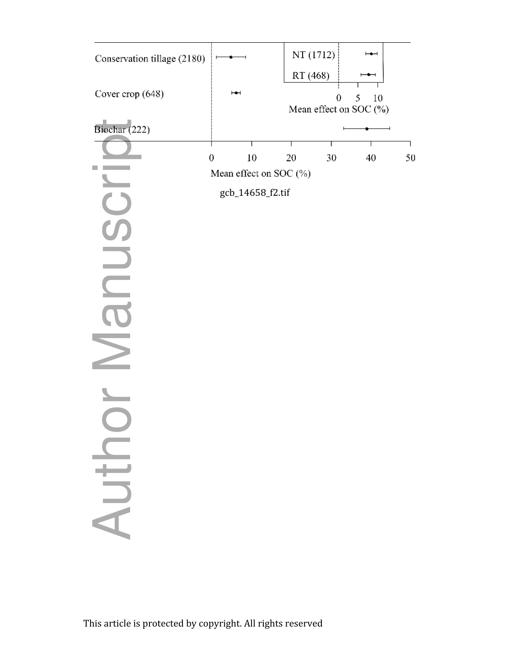| Conservation tillage (2180)                                 |                          | NT (1712)                                     |          |  |  |  |
|-------------------------------------------------------------|--------------------------|-----------------------------------------------|----------|--|--|--|
|                                                             |                          | RT (468)                                      |          |  |  |  |
| Cover crop (648)                                            | $\overline{\phantom{a}}$ | $\theta$<br>10<br>5<br>Mean effect on SOC (%) |          |  |  |  |
| Biochar (222)                                               |                          |                                               |          |  |  |  |
|                                                             | $\boldsymbol{0}$<br>10   | 20<br>30                                      | 40<br>50 |  |  |  |
|                                                             | Mean effect on SOC (%)   |                                               |          |  |  |  |
|                                                             | gcb_14658_f2.tif         |                                               |          |  |  |  |
|                                                             |                          |                                               |          |  |  |  |
|                                                             |                          |                                               |          |  |  |  |
|                                                             |                          |                                               |          |  |  |  |
|                                                             |                          |                                               |          |  |  |  |
| $\overline{\phantom{0}}$                                    |                          |                                               |          |  |  |  |
|                                                             |                          |                                               |          |  |  |  |
|                                                             |                          |                                               |          |  |  |  |
|                                                             |                          |                                               |          |  |  |  |
|                                                             |                          |                                               |          |  |  |  |
|                                                             |                          |                                               |          |  |  |  |
|                                                             |                          |                                               |          |  |  |  |
|                                                             |                          |                                               |          |  |  |  |
| $\Box$                                                      |                          |                                               |          |  |  |  |
| ╒                                                           |                          |                                               |          |  |  |  |
|                                                             |                          |                                               |          |  |  |  |
| AU                                                          |                          |                                               |          |  |  |  |
|                                                             |                          |                                               |          |  |  |  |
|                                                             |                          |                                               |          |  |  |  |
|                                                             |                          |                                               |          |  |  |  |
|                                                             |                          |                                               |          |  |  |  |
|                                                             |                          |                                               |          |  |  |  |
| This article is protected by copyright. All rights reserved |                          |                                               |          |  |  |  |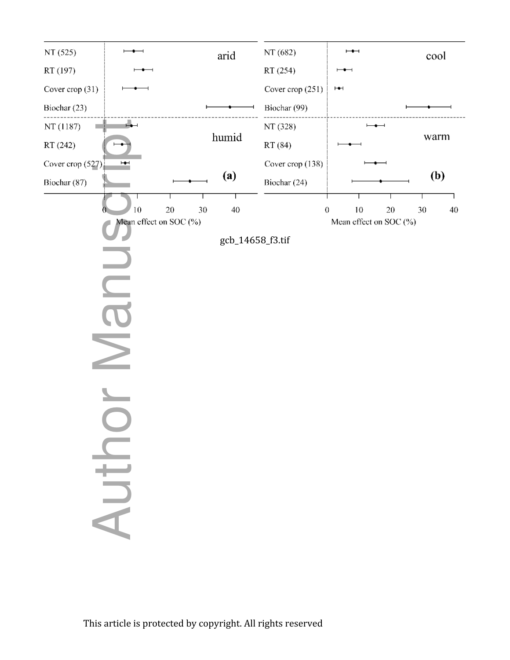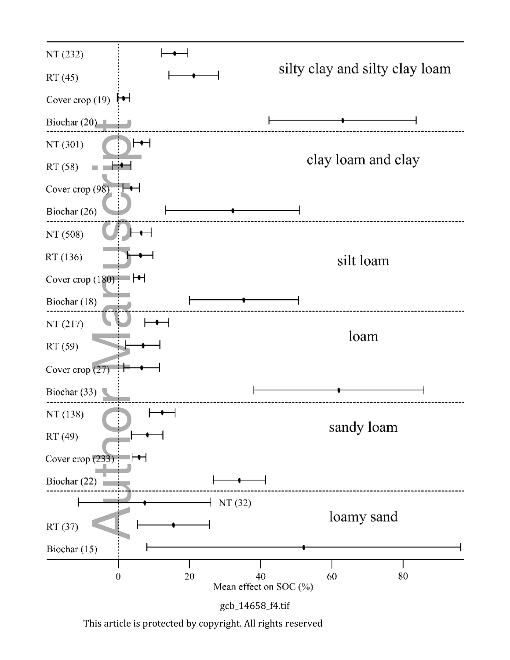

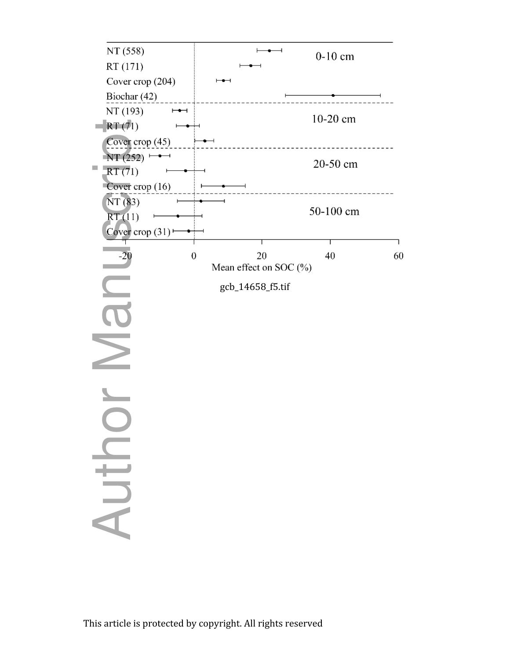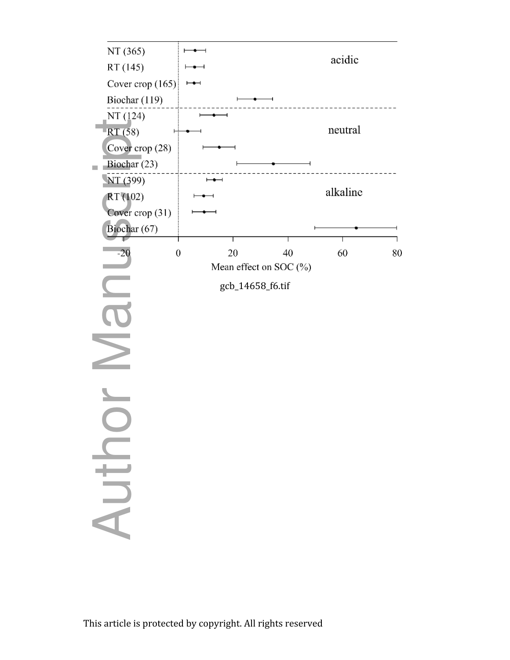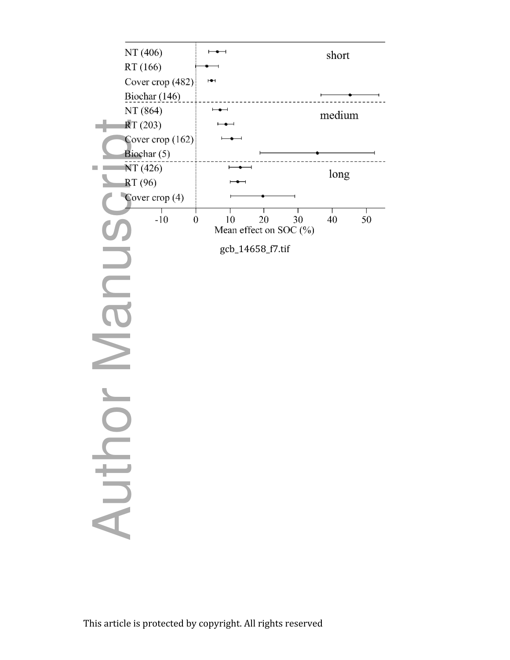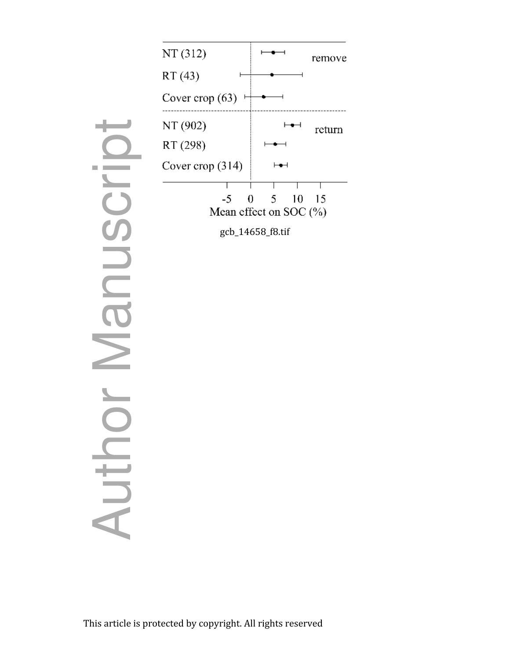NT (902)<br>
RT (298)<br>
Cover crop (314)<br>  $-5$  0 5 10 1:<br>
Mean effect on SOC (%<br>
gcb\_14658\_f8.tif<br>  $\frac{1}{\text{1}}$ <br>
This article is protected by copyright. All rights reserved



gcb\_14658\_f8.tif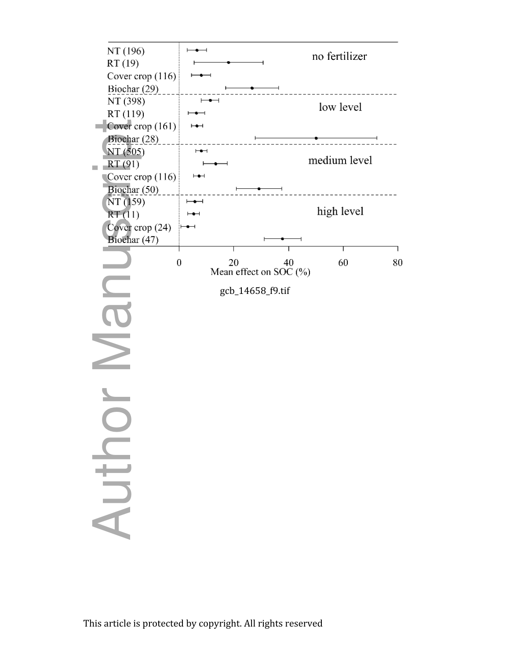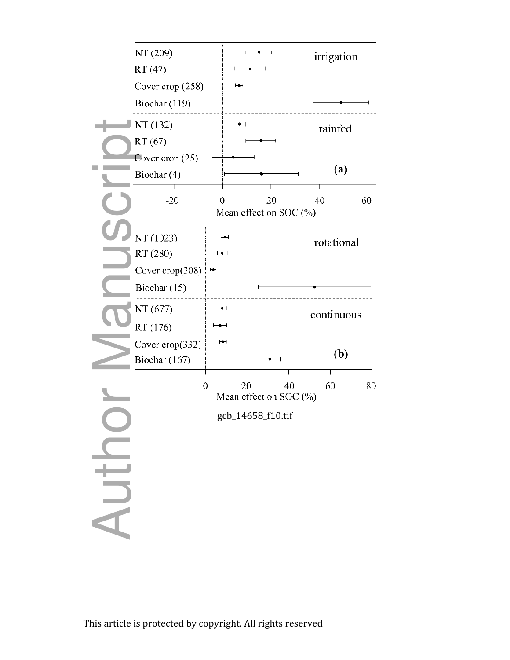